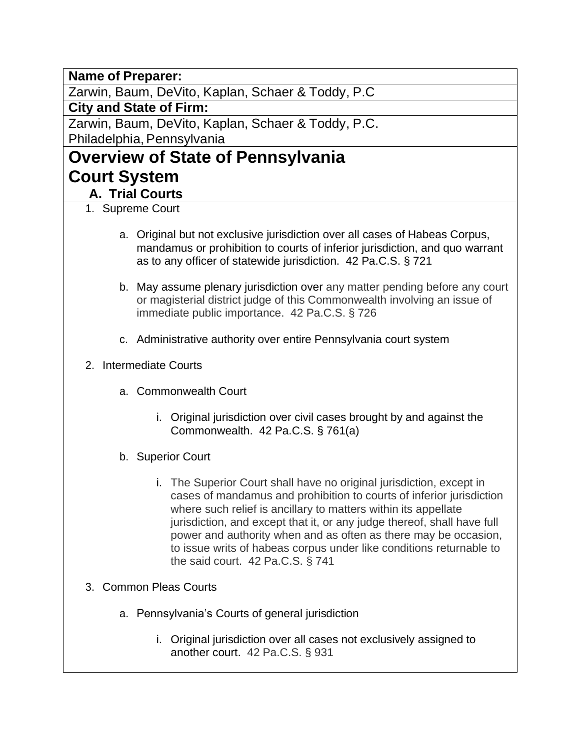**Name of Preparer:**

Zarwin, Baum, DeVito, Kaplan, Schaer & Toddy, P.C

**City and State of Firm:**

Zarwin, Baum, DeVito, Kaplan, Schaer & Toddy, P.C. Philadelphia, Pennsylvania

# **Overview of State of Pennsylvania Court System**

### **A. Trial Courts**

- 1. Supreme Court
	- a. Original but not exclusive jurisdiction over all cases of Habeas Corpus, mandamus or prohibition to courts of inferior jurisdiction, and quo warrant as to any officer of statewide jurisdiction. 42 Pa.C.S. § 721
	- b. May assume plenary jurisdiction over any matter pending before any court or magisterial district judge of this Commonwealth involving an issue of immediate public importance. 42 Pa.C.S. § 726
	- c. Administrative authority over entire Pennsylvania court system
- 2. Intermediate Courts
	- a. Commonwealth Court
		- i. Original jurisdiction over civil cases brought by and against the Commonwealth. 42 Pa.C.S. § 761(a)
	- b. Superior Court
		- i. The Superior Court shall have no original jurisdiction, except in cases of mandamus and prohibition to courts of inferior jurisdiction where such relief is ancillary to matters within its appellate jurisdiction, and except that it, or any judge thereof, shall have full power and authority when and as often as there may be occasion, to issue writs of habeas corpus under like conditions returnable to the said court. 42 Pa.C.S. § 741
- 3. Common Pleas Courts
	- a. Pennsylvania's Courts of general jurisdiction
		- i. Original jurisdiction over all cases not exclusively assigned to another court. 42 Pa.C.S. § 931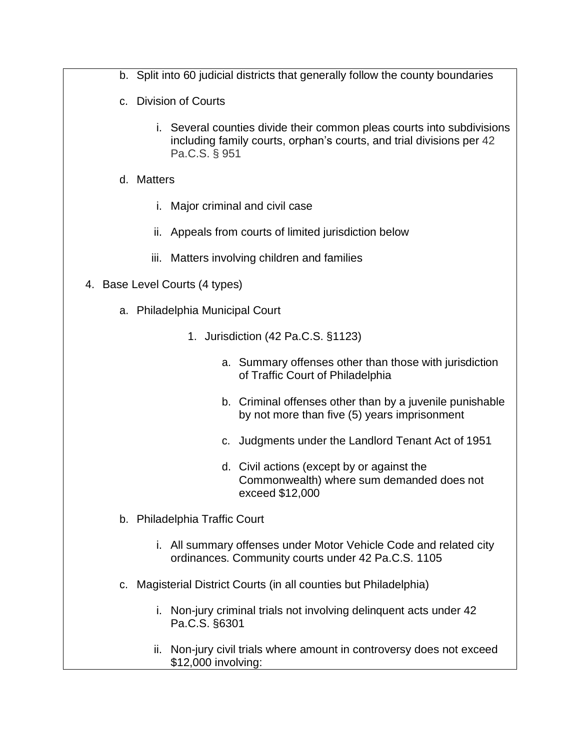- b. Split into 60 judicial districts that generally follow the county boundaries
- c. Division of Courts
	- i. Several counties divide their common pleas courts into subdivisions including family courts, orphan's courts, and trial divisions per 42 Pa.C.S. § 951
- d. Matters
	- i. Major criminal and civil case
	- ii. Appeals from courts of limited jurisdiction below
	- iii. Matters involving children and families
- 4. Base Level Courts (4 types)
	- a. Philadelphia Municipal Court
		- 1. Jurisdiction (42 Pa.C.S. §1123)
			- a. Summary offenses other than those with jurisdiction of Traffic Court of Philadelphia
			- b. Criminal offenses other than by a juvenile punishable by not more than five (5) years imprisonment
			- c. Judgments under the Landlord Tenant Act of 1951
			- d. Civil actions (except by or against the Commonwealth) where sum demanded does not exceed \$12,000
	- b. Philadelphia Traffic Court
		- i. All summary offenses under Motor Vehicle Code and related city ordinances. Community courts under 42 Pa.C.S. 1105
	- c. Magisterial District Courts (in all counties but Philadelphia)
		- i. Non-jury criminal trials not involving delinquent acts under 42 Pa.C.S. §6301
		- ii. Non-jury civil trials where amount in controversy does not exceed \$12,000 involving: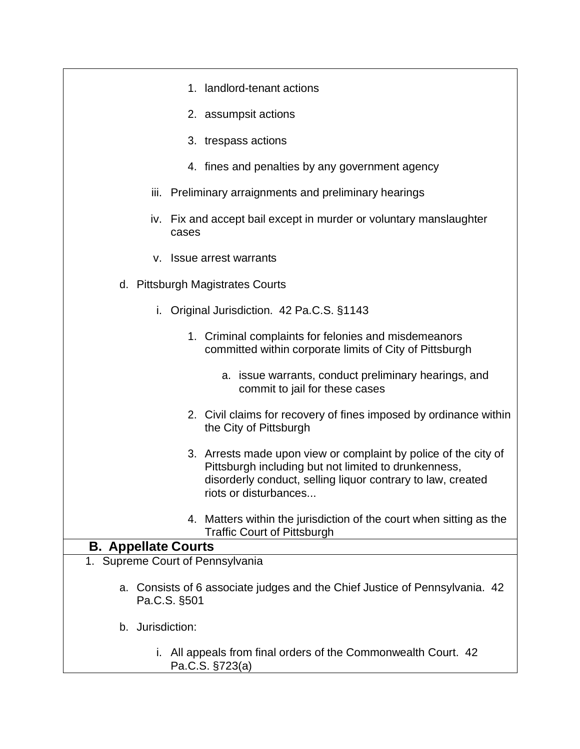| 1. landlord-tenant actions                                                                                                                                                                                      |
|-----------------------------------------------------------------------------------------------------------------------------------------------------------------------------------------------------------------|
| 2. assumpsit actions                                                                                                                                                                                            |
| 3. trespass actions                                                                                                                                                                                             |
| 4. fines and penalties by any government agency                                                                                                                                                                 |
| iii. Preliminary arraignments and preliminary hearings                                                                                                                                                          |
| iv. Fix and accept bail except in murder or voluntary manslaughter<br>cases                                                                                                                                     |
| v. Issue arrest warrants                                                                                                                                                                                        |
| d. Pittsburgh Magistrates Courts                                                                                                                                                                                |
| Original Jurisdiction. 42 Pa.C.S. §1143<br>i.                                                                                                                                                                   |
| 1. Criminal complaints for felonies and misdemeanors<br>committed within corporate limits of City of Pittsburgh                                                                                                 |
| a. issue warrants, conduct preliminary hearings, and<br>commit to jail for these cases                                                                                                                          |
| 2. Civil claims for recovery of fines imposed by ordinance within<br>the City of Pittsburgh                                                                                                                     |
| 3. Arrests made upon view or complaint by police of the city of<br>Pittsburgh including but not limited to drunkenness,<br>disorderly conduct, selling liquor contrary to law, created<br>riots or disturbances |
| 4. Matters within the jurisdiction of the court when sitting as the<br><b>Traffic Court of Pittsburgh</b>                                                                                                       |
| <b>B. Appellate Courts</b>                                                                                                                                                                                      |
| 1. Supreme Court of Pennsylvania                                                                                                                                                                                |
| Consists of 6 associate judges and the Chief Justice of Pennsylvania. 42<br>a.<br>Pa.C.S. §501                                                                                                                  |
| b. Jurisdiction:                                                                                                                                                                                                |
| All appeals from final orders of the Commonwealth Court. 42<br>İ.<br>Pa.C.S. §723(a)                                                                                                                            |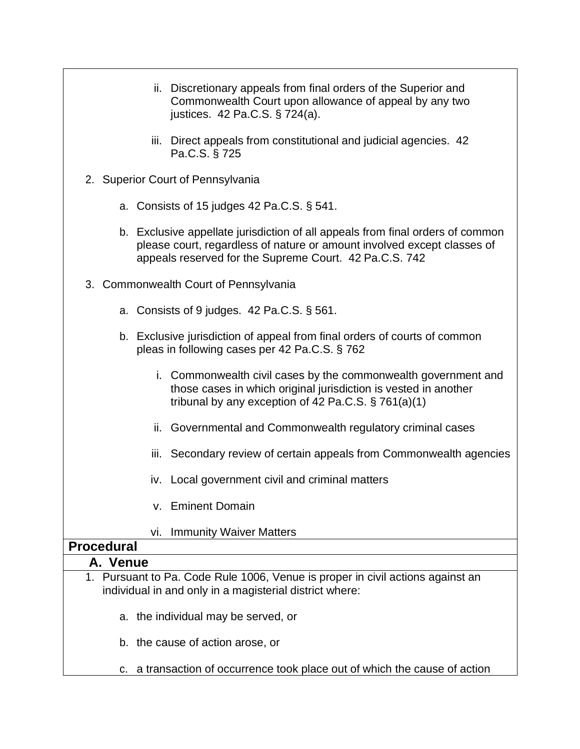| ii. Discretionary appeals from final orders of the Superior and<br>Commonwealth Court upon allowance of appeal by any two<br>justices. 42 Pa.C.S. § 724(a).                                                         |
|---------------------------------------------------------------------------------------------------------------------------------------------------------------------------------------------------------------------|
| iii. Direct appeals from constitutional and judicial agencies. 42<br>Pa.C.S. § 725                                                                                                                                  |
| 2. Superior Court of Pennsylvania                                                                                                                                                                                   |
| a. Consists of 15 judges 42 Pa.C.S. $\S$ 541.                                                                                                                                                                       |
| b. Exclusive appellate jurisdiction of all appeals from final orders of common<br>please court, regardless of nature or amount involved except classes of<br>appeals reserved for the Supreme Court. 42 Pa.C.S. 742 |
| 3. Commonwealth Court of Pennsylvania                                                                                                                                                                               |
| a. Consists of 9 judges. $42$ Pa.C.S. $\S$ 561.                                                                                                                                                                     |
| b. Exclusive jurisdiction of appeal from final orders of courts of common<br>pleas in following cases per 42 Pa.C.S. § 762                                                                                          |
| i. Commonwealth civil cases by the commonwealth government and<br>those cases in which original jurisdiction is vested in another<br>tribunal by any exception of 42 Pa.C.S. $\S$ 761(a)(1)                         |
| ii. Governmental and Commonwealth regulatory criminal cases                                                                                                                                                         |
| iii. Secondary review of certain appeals from Commonwealth agencies                                                                                                                                                 |
| iv. Local government civil and criminal matters                                                                                                                                                                     |
| v. Eminent Domain                                                                                                                                                                                                   |
| <b>Immunity Waiver Matters</b><br>vi.                                                                                                                                                                               |
| <b>Procedural</b>                                                                                                                                                                                                   |
| A. Venue                                                                                                                                                                                                            |
| 1. Pursuant to Pa. Code Rule 1006, Venue is proper in civil actions against an<br>individual in and only in a magisterial district where:                                                                           |
| a. the individual may be served, or                                                                                                                                                                                 |

- 
- b. the cause of action arose, or
- c. a transaction of occurrence took place out of which the cause of action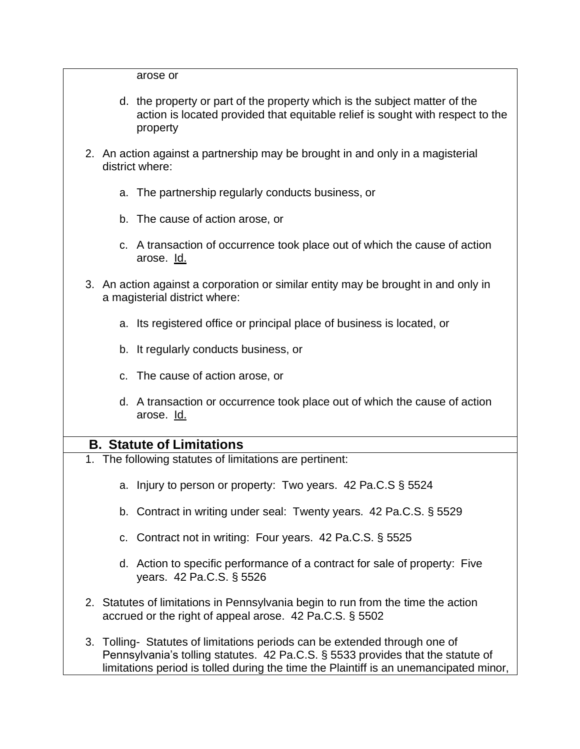arose or

- d. the property or part of the property which is the subject matter of the action is located provided that equitable relief is sought with respect to the property
- 2. An action against a partnership may be brought in and only in a magisterial district where:
	- a. The partnership regularly conducts business, or
	- b. The cause of action arose, or
	- c. A transaction of occurrence took place out of which the cause of action arose. Id.
- 3. An action against a corporation or similar entity may be brought in and only in a magisterial district where:
	- a. Its registered office or principal place of business is located, or
	- b. It regularly conducts business, or
	- c. The cause of action arose, or
	- d. A transaction or occurrence took place out of which the cause of action arose. Id.

#### **B. Statute of Limitations**

- 1. The following statutes of limitations are pertinent:
	- a. Injury to person or property: Two years. 42 Pa.C.S § 5524
	- b. Contract in writing under seal: Twenty years. 42 Pa.C.S. § 5529
	- c. Contract not in writing: Four years. 42 Pa.C.S. § 5525
	- d. Action to specific performance of a contract for sale of property: Five years. 42 Pa.C.S. § 5526
- 2. Statutes of limitations in Pennsylvania begin to run from the time the action accrued or the right of appeal arose. 42 Pa.C.S. § 5502
- 3. Tolling- Statutes of limitations periods can be extended through one of Pennsylvania's tolling statutes. 42 Pa.C.S. § 5533 provides that the statute of limitations period is tolled during the time the Plaintiff is an unemancipated minor,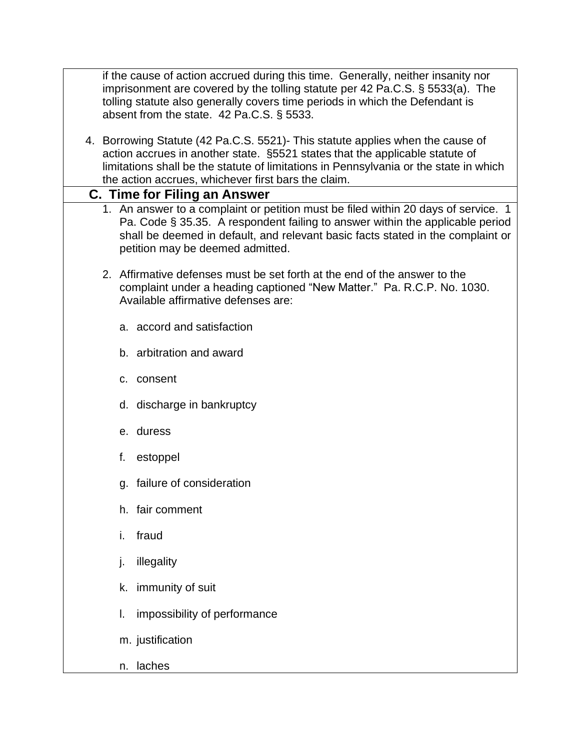if the cause of action accrued during this time. Generally, neither insanity nor imprisonment are covered by the tolling statute per 42 Pa.C.S. § 5533(a). The tolling statute also generally covers time periods in which the Defendant is absent from the state. 42 Pa.C.S. § 5533.

4. Borrowing Statute (42 Pa.C.S. 5521)- This statute applies when the cause of action accrues in another state. §5521 states that the applicable statute of limitations shall be the statute of limitations in Pennsylvania or the state in which the action accrues, whichever first bars the claim.

#### **C. Time for Filing an Answer**

- 1. An answer to a complaint or petition must be filed within 20 days of service. 1 Pa. Code § 35.35. A respondent failing to answer within the applicable period shall be deemed in default, and relevant basic facts stated in the complaint or petition may be deemed admitted.
- 2. Affirmative defenses must be set forth at the end of the answer to the complaint under a heading captioned "New Matter." Pa. R.C.P. No. 1030. Available affirmative defenses are:
	- a. accord and satisfaction
	- b. arbitration and award
	- c. consent
	- d. discharge in bankruptcy
	- e. duress
	- f. estoppel
	- g. failure of consideration
	- h. fair comment
	- i. fraud
	- j. illegality
	- k. immunity of suit
	- l. impossibility of performance
	- m. justification
	- n. laches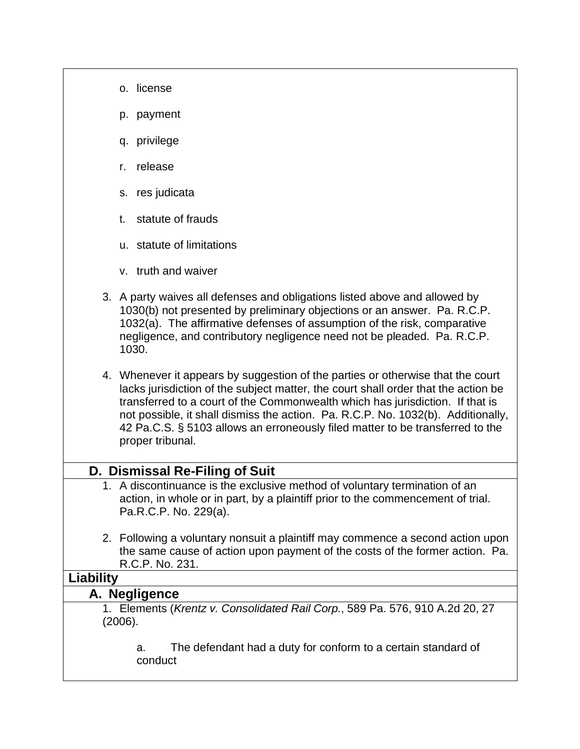- o. license
- p. payment
- q. privilege
- r. release
- s. res judicata
- t. statute of frauds
- u. statute of limitations
- v. truth and waiver
- 3. A party waives all defenses and obligations listed above and allowed by 1030(b) not presented by preliminary objections or an answer. Pa. R.C.P. 1032(a). The affirmative defenses of assumption of the risk, comparative negligence, and contributory negligence need not be pleaded. Pa. R.C.P. 1030.
- 4. Whenever it appears by suggestion of the parties or otherwise that the court lacks jurisdiction of the subject matter, the court shall order that the action be transferred to a court of the Commonwealth which has jurisdiction. If that is not possible, it shall dismiss the action. Pa. R.C.P. No. 1032(b). Additionally, 42 Pa.C.S. § 5103 allows an erroneously filed matter to be transferred to the proper tribunal.

### **D. Dismissal Re-Filing of Suit**

- 1. A discontinuance is the exclusive method of voluntary termination of an action, in whole or in part, by a plaintiff prior to the commencement of trial. Pa.R.C.P. No. 229(a).
- 2. Following a voluntary nonsuit a plaintiff may commence a second action upon the same cause of action upon payment of the costs of the former action. Pa. R.C.P. No. 231.

#### **Liability**

#### **A. Negligence**

1. Elements (*Krentz v. Consolidated Rail Corp.*, 589 Pa. 576, 910 A.2d 20, 27 (2006).

a. The defendant had a duty for conform to a certain standard of conduct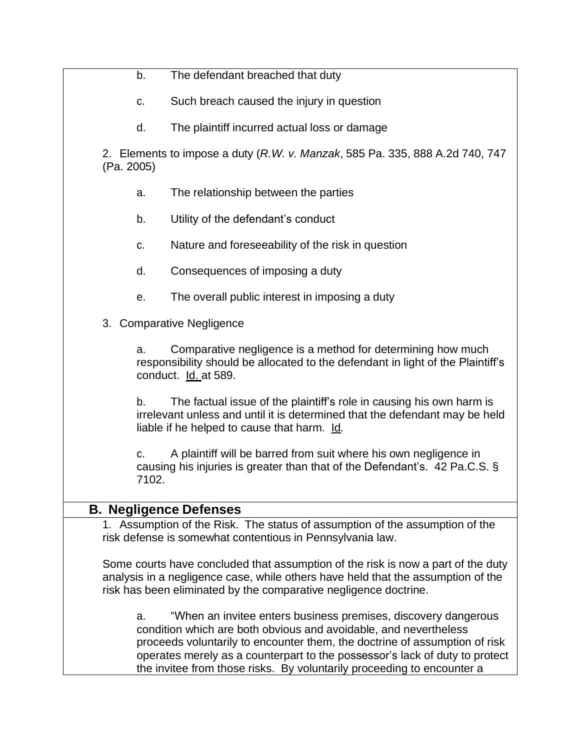|            | b.          | The defendant breached that duty                                                                                                                                                                                                                                                                                                                                          |
|------------|-------------|---------------------------------------------------------------------------------------------------------------------------------------------------------------------------------------------------------------------------------------------------------------------------------------------------------------------------------------------------------------------------|
|            | C.          | Such breach caused the injury in question                                                                                                                                                                                                                                                                                                                                 |
|            | d.          | The plaintiff incurred actual loss or damage                                                                                                                                                                                                                                                                                                                              |
| (Pa. 2005) |             | 2. Elements to impose a duty (R.W. v. Manzak, 585 Pa. 335, 888 A.2d 740, 747                                                                                                                                                                                                                                                                                              |
|            | a.          | The relationship between the parties                                                                                                                                                                                                                                                                                                                                      |
|            | b.          | Utility of the defendant's conduct                                                                                                                                                                                                                                                                                                                                        |
|            | C.          | Nature and foreseeability of the risk in question                                                                                                                                                                                                                                                                                                                         |
|            | d.          | Consequences of imposing a duty                                                                                                                                                                                                                                                                                                                                           |
|            | е.          | The overall public interest in imposing a duty                                                                                                                                                                                                                                                                                                                            |
|            |             | 3. Comparative Negligence                                                                                                                                                                                                                                                                                                                                                 |
|            | a.          | Comparative negligence is a method for determining how much<br>responsibility should be allocated to the defendant in light of the Plaintiff's<br>conduct. Id. at 589.                                                                                                                                                                                                    |
|            | b.          | The factual issue of the plaintiff's role in causing his own harm is<br>irrelevant unless and until it is determined that the defendant may be held<br>liable if he helped to cause that harm. Id.                                                                                                                                                                        |
|            | c.<br>7102. | A plaintiff will be barred from suit where his own negligence in<br>causing his injuries is greater than that of the Defendant's. 42 Pa.C.S. §                                                                                                                                                                                                                            |
|            |             | <b>B. Negligence Defenses</b>                                                                                                                                                                                                                                                                                                                                             |
|            |             | 1. Assumption of the Risk. The status of assumption of the assumption of the<br>risk defense is somewhat contentious in Pennsylvania law.                                                                                                                                                                                                                                 |
|            |             | Some courts have concluded that assumption of the risk is now a part of the duty<br>analysis in a negligence case, while others have held that the assumption of the<br>risk has been eliminated by the comparative negligence doctrine.                                                                                                                                  |
|            | a.          | "When an invitee enters business premises, discovery dangerous<br>condition which are both obvious and avoidable, and nevertheless<br>proceeds voluntarily to encounter them, the doctrine of assumption of risk<br>operates merely as a counterpart to the possessor's lack of duty to protect<br>the invitee from those risks. By voluntarily proceeding to encounter a |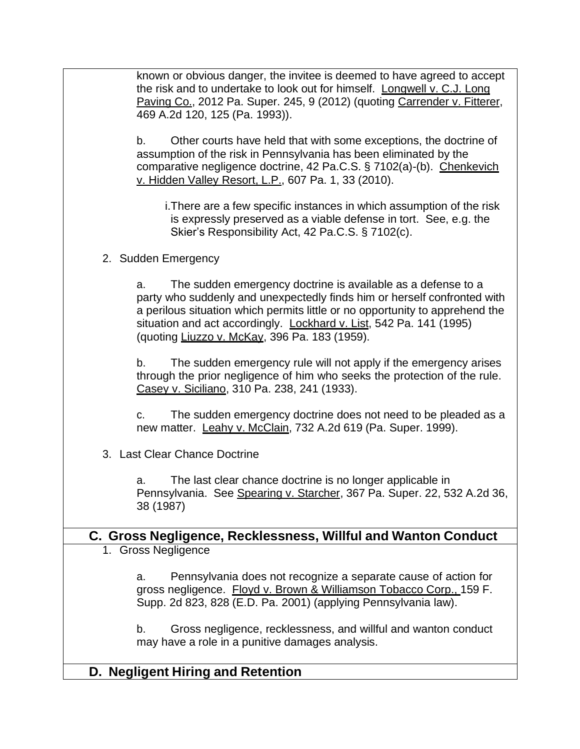known or obvious danger, the invitee is deemed to have agreed to accept the risk and to undertake to look out for himself. Longwell v. C.J. Long Paving Co., 2012 Pa. Super. 245, 9 (2012) (quoting Carrender v. Fitterer, 469 A.2d 120, 125 (Pa. 1993)). b. Other courts have held that with some exceptions, the doctrine of assumption of the risk in Pennsylvania has been eliminated by the comparative negligence doctrine, 42 Pa.C.S. § 7102(a)-(b). Chenkevich v. Hidden Valley Resort, L.P., 607 Pa. 1, 33 (2010). i.There are a few specific instances in which assumption of the risk is expressly preserved as a viable defense in tort. See, e.g. the Skier's Responsibility Act, 42 Pa.C.S. § 7102(c). 2. Sudden Emergency a. The sudden emergency doctrine is available as a defense to a party who suddenly and unexpectedly finds him or herself confronted with a perilous situation which permits little or no opportunity to apprehend the situation and act accordingly. Lockhard v. List, 542 Pa. 141 (1995) (quoting Liuzzo v. McKay, 396 Pa. 183 (1959). b. The sudden emergency rule will not apply if the emergency arises through the prior negligence of him who seeks the protection of the rule. Casey v. Siciliano, 310 Pa. 238, 241 (1933). c. The sudden emergency doctrine does not need to be pleaded as a new matter. Leahy v. McClain, 732 A.2d 619 (Pa. Super. 1999). 3. Last Clear Chance Doctrine a. The last clear chance doctrine is no longer applicable in Pennsylvania. See Spearing v. Starcher, 367 Pa. Super. 22, 532 A.2d 36, 38 (1987) **C. Gross Negligence, Recklessness, Willful and Wanton Conduct** 1. Gross Negligence a. Pennsylvania does not recognize a separate cause of action for gross negligence. Floyd v. Brown & Williamson Tobacco Corp., 159 F. Supp. 2d 823, 828 (E.D. Pa. 2001) (applying Pennsylvania law). b. Gross negligence, recklessness, and willful and wanton conduct may have a role in a punitive damages analysis. **D. Negligent Hiring and Retention**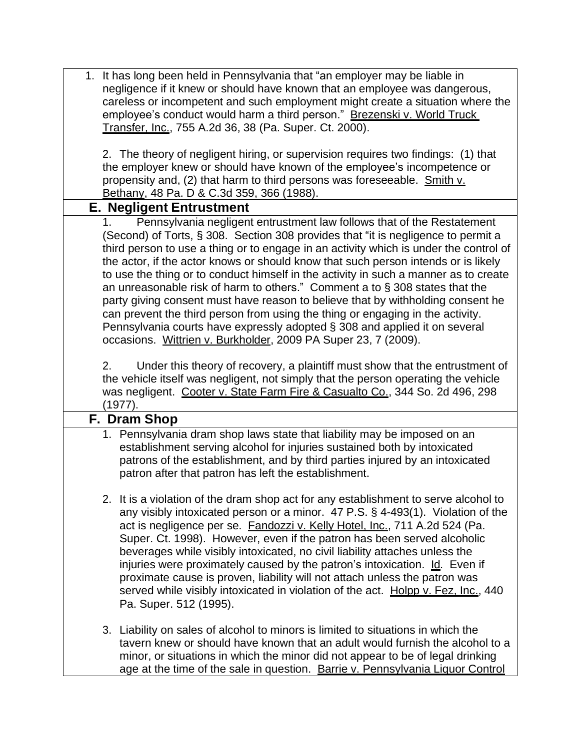|    | 1. It has long been held in Pennsylvania that "an employer may be liable in           |
|----|---------------------------------------------------------------------------------------|
|    | negligence if it knew or should have known that an employee was dangerous,            |
|    | careless or incompetent and such employment might create a situation where the        |
|    | employee's conduct would harm a third person." Brezenski v. World Truck               |
|    | Transfer, Inc., 755 A.2d 36, 38 (Pa. Super. Ct. 2000).                                |
|    |                                                                                       |
|    | 2. The theory of negligent hiring, or supervision requires two findings: (1) that     |
|    | the employer knew or should have known of the employee's incompetence or              |
|    | propensity and, (2) that harm to third persons was foreseeable. Smith v.              |
|    | Bethany, 48 Pa. D & C.3d 359, 366 (1988).                                             |
|    | <b>E. Negligent Entrustment</b>                                                       |
|    |                                                                                       |
|    | Pennsylvania negligent entrustment law follows that of the Restatement                |
|    | (Second) of Torts, § 308. Section 308 provides that "it is negligence to permit a     |
|    | third person to use a thing or to engage in an activity which is under the control of |
|    | the actor, if the actor knows or should know that such person intends or is likely    |
|    | to use the thing or to conduct himself in the activity in such a manner as to create  |
|    | an unreasonable risk of harm to others." Comment a to $\S 308$ states that the        |
|    | party giving consent must have reason to believe that by withholding consent he       |
|    | can prevent the third person from using the thing or engaging in the activity.        |
|    | Pennsylvania courts have expressly adopted § 308 and applied it on several            |
|    | occasions. Wittrien v. Burkholder, 2009 PA Super 23, 7 (2009).                        |
|    |                                                                                       |
| 2. | Under this theory of recovery, a plaintiff must show that the entrustment of          |
|    | the vehicle itself was negligent, not simply that the person operating the vehicle    |
|    | was negligent. Cooter v. State Farm Fire & Casualto Co., 344 So. 2d 496, 298          |
|    | (1977).                                                                               |
|    | F. Dram Shop                                                                          |
|    | 1. Pennsylvania dram shop laws state that liability may be imposed on an              |
|    | establishment serving alcohol for injuries sustained both by intoxicated              |
|    | patrons of the establishment, and by third parties injured by an intoxicated          |
|    | patron after that patron has left the establishment.                                  |
|    |                                                                                       |
|    | 2. It is a violation of the dram shop act for any establishment to serve alcohol to   |
|    |                                                                                       |
|    | any visibly intoxicated person or a minor. 47 P.S. § 4-493(1). Violation of the       |
|    | act is negligence per se. Fandozzi v. Kelly Hotel, Inc., 711 A.2d 524 (Pa.            |
|    | Super. Ct. 1998). However, even if the patron has been served alcoholic               |
|    | beverages while visibly intoxicated, no civil liability attaches unless the           |
|    | injuries were proximately caused by the patron's intoxication. Id. Even if            |
|    | proximate cause is proven, liability will not attach unless the patron was            |
|    | served while visibly intoxicated in violation of the act. Holpp v. Fez, Inc., 440     |
|    | Pa. Super. 512 (1995).                                                                |
|    |                                                                                       |
|    | 3. Liability on sales of alcohol to minors is limited to situations in which the      |
|    | tavern knew or should have known that an adult would furnish the alcohol to a         |
|    | minor, or situations in which the minor did not appear to be of legal drinking        |
|    | age at the time of the sale in question. Barrie v. Pennsylvania Liquor Control        |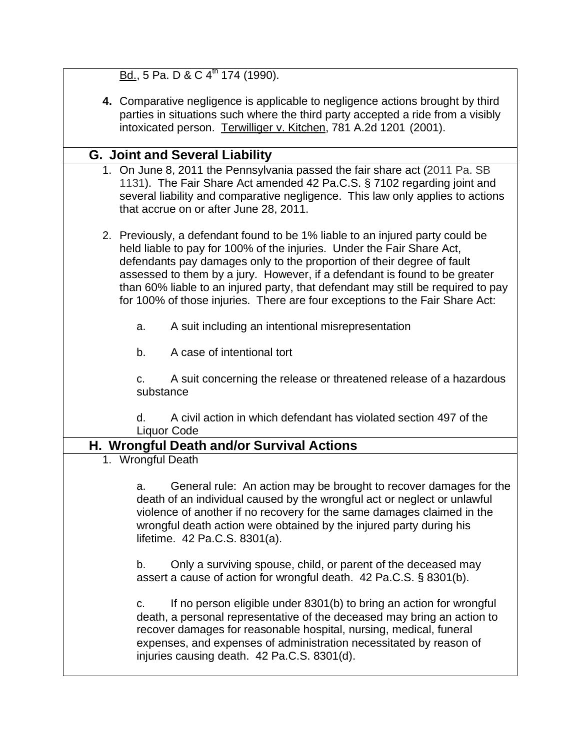| Bd., 5 Pa. D & C 4 <sup>th</sup> 174 (1990).                                                                                                                                                                                                                                                                                                                                                                                                                                        |
|-------------------------------------------------------------------------------------------------------------------------------------------------------------------------------------------------------------------------------------------------------------------------------------------------------------------------------------------------------------------------------------------------------------------------------------------------------------------------------------|
| 4. Comparative negligence is applicable to negligence actions brought by third<br>parties in situations such where the third party accepted a ride from a visibly<br>intoxicated person. Terwilliger v. Kitchen, 781 A.2d 1201 (2001).                                                                                                                                                                                                                                              |
|                                                                                                                                                                                                                                                                                                                                                                                                                                                                                     |
| <b>G. Joint and Several Liability</b>                                                                                                                                                                                                                                                                                                                                                                                                                                               |
| 1. On June 8, 2011 the Pennsylvania passed the fair share act (2011 Pa. SB<br>1131). The Fair Share Act amended 42 Pa.C.S. § 7102 regarding joint and<br>several liability and comparative negligence. This law only applies to actions<br>that accrue on or after June 28, 2011.                                                                                                                                                                                                   |
| 2. Previously, a defendant found to be 1% liable to an injured party could be<br>held liable to pay for 100% of the injuries. Under the Fair Share Act,<br>defendants pay damages only to the proportion of their degree of fault<br>assessed to them by a jury. However, if a defendant is found to be greater<br>than 60% liable to an injured party, that defendant may still be required to pay<br>for 100% of those injuries. There are four exceptions to the Fair Share Act: |
| A suit including an intentional misrepresentation<br>a.                                                                                                                                                                                                                                                                                                                                                                                                                             |
| A case of intentional tort<br>b.                                                                                                                                                                                                                                                                                                                                                                                                                                                    |
| A suit concerning the release or threatened release of a hazardous<br>C.<br>substance                                                                                                                                                                                                                                                                                                                                                                                               |
| A civil action in which defendant has violated section 497 of the<br>d.<br>Liquor Code                                                                                                                                                                                                                                                                                                                                                                                              |
| H. Wrongful Death and/or Survival Actions                                                                                                                                                                                                                                                                                                                                                                                                                                           |
| 1. Wrongful Death                                                                                                                                                                                                                                                                                                                                                                                                                                                                   |
| General rule: An action may be brought to recover damages for the<br>a<br>death of an individual caused by the wrongful act or neglect or unlawful<br>violence of another if no recovery for the same damages claimed in the<br>wrongful death action were obtained by the injured party during his<br>lifetime. 42 Pa.C.S. 8301(a).                                                                                                                                                |
| Only a surviving spouse, child, or parent of the deceased may<br>b.<br>assert a cause of action for wrongful death. 42 Pa.C.S. § 8301(b).                                                                                                                                                                                                                                                                                                                                           |
| If no person eligible under 8301(b) to bring an action for wrongful<br>c.<br>death, a personal representative of the deceased may bring an action to<br>recover damages for reasonable hospital, nursing, medical, funeral<br>expenses, and expenses of administration necessitated by reason of<br>injuries causing death. 42 Pa.C.S. 8301(d).                                                                                                                                     |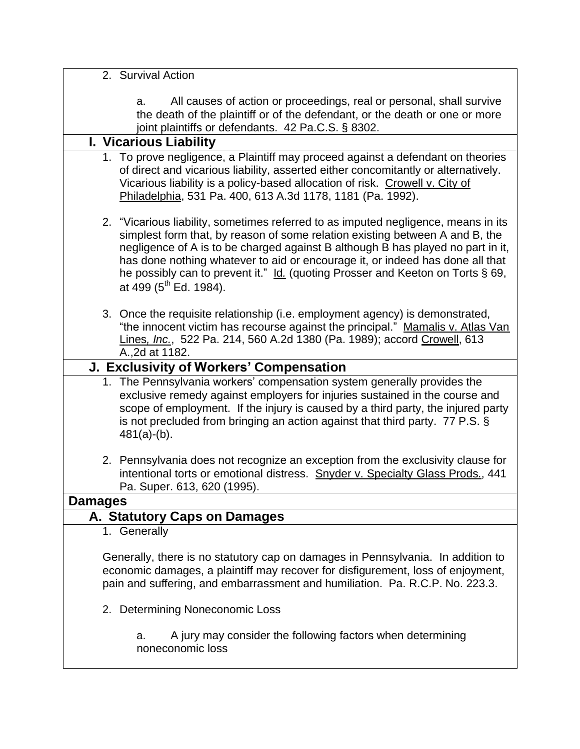|                | 2. Survival Action                                                                                                                                                                                                                                                                                                                                                                                                                                             |
|----------------|----------------------------------------------------------------------------------------------------------------------------------------------------------------------------------------------------------------------------------------------------------------------------------------------------------------------------------------------------------------------------------------------------------------------------------------------------------------|
|                |                                                                                                                                                                                                                                                                                                                                                                                                                                                                |
|                | All causes of action or proceedings, real or personal, shall survive<br>a.<br>the death of the plaintiff or of the defendant, or the death or one or more<br>joint plaintiffs or defendants. 42 Pa.C.S. § 8302.                                                                                                                                                                                                                                                |
|                | I. Vicarious Liability                                                                                                                                                                                                                                                                                                                                                                                                                                         |
|                | 1. To prove negligence, a Plaintiff may proceed against a defendant on theories<br>of direct and vicarious liability, asserted either concomitantly or alternatively.<br>Vicarious liability is a policy-based allocation of risk. Crowell v. City of<br>Philadelphia, 531 Pa. 400, 613 A.3d 1178, 1181 (Pa. 1992).                                                                                                                                            |
|                | 2. "Vicarious liability, sometimes referred to as imputed negligence, means in its<br>simplest form that, by reason of some relation existing between A and B, the<br>negligence of A is to be charged against B although B has played no part in it,<br>has done nothing whatever to aid or encourage it, or indeed has done all that<br>he possibly can to prevent it." Id. (quoting Prosser and Keeton on Torts § 69,<br>at 499 (5 <sup>th</sup> Ed. 1984). |
|                | 3. Once the requisite relationship (i.e. employment agency) is demonstrated,<br>"the innocent victim has recourse against the principal." Mamalis v. Atlas Van<br>Lines, Inc., 522 Pa. 214, 560 A.2d 1380 (Pa. 1989); accord Crowell, 613<br>A., 2d at 1182.                                                                                                                                                                                                   |
|                | J. Exclusivity of Workers' Compensation                                                                                                                                                                                                                                                                                                                                                                                                                        |
|                | 1. The Pennsylvania workers' compensation system generally provides the<br>exclusive remedy against employers for injuries sustained in the course and<br>scope of employment. If the injury is caused by a third party, the injured party<br>is not precluded from bringing an action against that third party. 77 P.S. §<br>$481(a)-(b)$ .                                                                                                                   |
|                | 2. Pennsylvania does not recognize an exception from the exclusivity clause for<br>intentional torts or emotional distress. Snyder v. Specialty Glass Prods., 441<br>Pa. Super. 613, 620 (1995).                                                                                                                                                                                                                                                               |
| <b>Damages</b> |                                                                                                                                                                                                                                                                                                                                                                                                                                                                |
|                | A. Statutory Caps on Damages                                                                                                                                                                                                                                                                                                                                                                                                                                   |
|                | 1. Generally                                                                                                                                                                                                                                                                                                                                                                                                                                                   |
|                | Generally, there is no statutory cap on damages in Pennsylvania. In addition to<br>economic damages, a plaintiff may recover for disfigurement, loss of enjoyment,<br>pain and suffering, and embarrassment and humiliation. Pa. R.C.P. No. 223.3.                                                                                                                                                                                                             |
|                | 2. Determining Noneconomic Loss                                                                                                                                                                                                                                                                                                                                                                                                                                |
|                | A jury may consider the following factors when determining<br>a.<br>noneconomic loss                                                                                                                                                                                                                                                                                                                                                                           |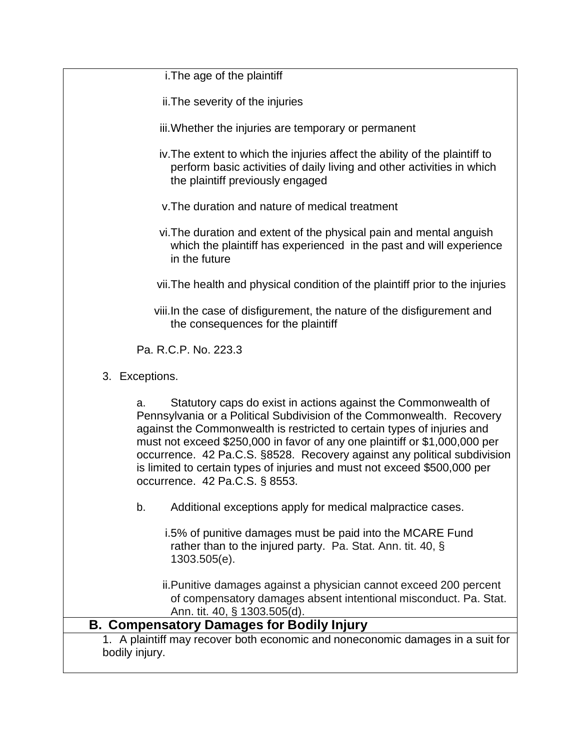i.The age of the plaintiff

ii.The severity of the injuries

- iii.Whether the injuries are temporary or permanent
- iv.The extent to which the injuries affect the ability of the plaintiff to perform basic activities of daily living and other activities in which the plaintiff previously engaged
- v.The duration and nature of medical treatment
- vi.The duration and extent of the physical pain and mental anguish which the plaintiff has experienced in the past and will experience in the future

vii.The health and physical condition of the plaintiff prior to the injuries

viii.In the case of disfigurement, the nature of the disfigurement and the consequences for the plaintiff

Pa. R.C.P. No. 223.3

3. Exceptions.

a. Statutory caps do exist in actions against the Commonwealth of Pennsylvania or a Political Subdivision of the Commonwealth. Recovery against the Commonwealth is restricted to certain types of injuries and must not exceed \$250,000 in favor of any one plaintiff or \$1,000,000 per occurrence. 42 Pa.C.S. §8528. Recovery against any political subdivision is limited to certain types of injuries and must not exceed \$500,000 per occurrence. 42 Pa.C.S. § 8553.

b. Additional exceptions apply for medical malpractice cases.

i.5% of punitive damages must be paid into the MCARE Fund rather than to the injured party. Pa. Stat. Ann. tit. 40, § 1303.505(e).

ii.Punitive damages against a physician cannot exceed 200 percent of compensatory damages absent intentional misconduct. Pa. Stat. Ann. tit. 40, § 1303.505(d).

### **B. Compensatory Damages for Bodily Injury**

1. A plaintiff may recover both economic and noneconomic damages in a suit for bodily injury.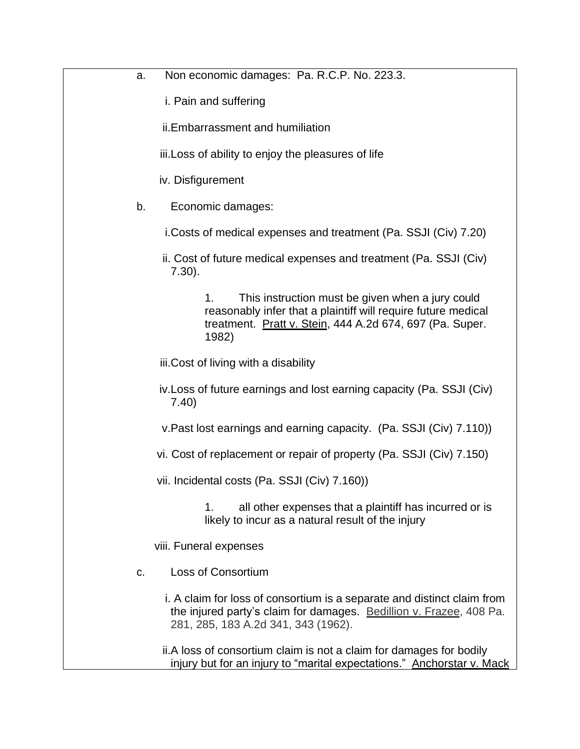a. Non economic damages: Pa. R.C.P. No. 223.3.

i. Pain and suffering

ii.Embarrassment and humiliation

iii.Loss of ability to enjoy the pleasures of life

iv. Disfigurement

b. Economic damages:

i.Costs of medical expenses and treatment (Pa. SSJI (Civ) 7.20)

ii. Cost of future medical expenses and treatment (Pa. SSJI (Civ) 7.30).

> 1. This instruction must be given when a jury could reasonably infer that a plaintiff will require future medical treatment. Pratt v. Stein, 444 A.2d 674, 697 (Pa. Super. 1982)

iii.Cost of living with a disability

iv.Loss of future earnings and lost earning capacity (Pa. SSJI (Civ) 7.40)

v.Past lost earnings and earning capacity. (Pa. SSJI (Civ) 7.110))

vi. Cost of replacement or repair of property (Pa. SSJI (Civ) 7.150)

vii. Incidental costs (Pa. SSJI (Civ) 7.160))

1. all other expenses that a plaintiff has incurred or is likely to incur as a natural result of the injury

viii. Funeral expenses

c. Loss of Consortium

i. A claim for loss of consortium is a separate and distinct claim from the injured party's claim for damages. Bedillion v. Frazee, 408 Pa. 281, 285, 183 A.2d 341, 343 (1962).

ii.A loss of consortium claim is not a claim for damages for bodily injury but for an injury to "marital expectations." Anchorstar v. Mack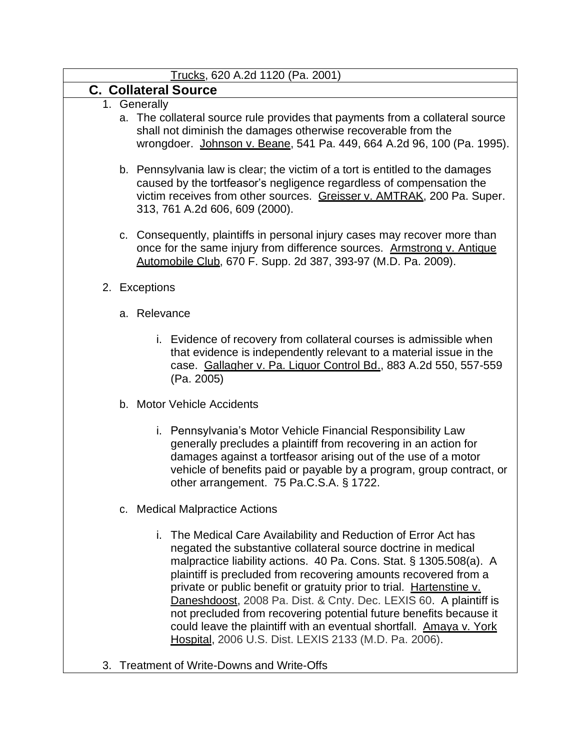#### Trucks, 620 A.2d 1120 (Pa. 2001)

# **C. Collateral Source**

- 1. Generally
	- a. The collateral source rule provides that payments from a collateral source shall not diminish the damages otherwise recoverable from the wrongdoer. Johnson v. Beane, 541 Pa. 449, 664 A.2d 96, 100 (Pa. 1995).
	- b. Pennsylvania law is clear; the victim of a tort is entitled to the damages caused by the tortfeasor's negligence regardless of compensation the victim receives from other sources. Greisser v. AMTRAK, 200 Pa. Super. 313, 761 A.2d 606, 609 (2000).
	- c. Consequently, plaintiffs in personal injury cases may recover more than once for the same injury from difference sources. Armstrong v. Antique Automobile Club, 670 F. Supp. 2d 387, 393-97 (M.D. Pa. 2009).

#### 2. Exceptions

- a. Relevance
	- i. Evidence of recovery from collateral courses is admissible when that evidence is independently relevant to a material issue in the case. Gallagher v. Pa. Liquor Control Bd., 883 A.2d 550, 557-559 (Pa. 2005)
- b. Motor Vehicle Accidents
	- i. Pennsylvania's Motor Vehicle Financial Responsibility Law generally precludes a plaintiff from recovering in an action for damages against a tortfeasor arising out of the use of a motor vehicle of benefits paid or payable by a program, group contract, or other arrangement. 75 Pa.C.S.A. § 1722.
- c. Medical Malpractice Actions
	- i. The Medical Care Availability and Reduction of Error Act has negated the substantive collateral source doctrine in medical malpractice liability actions. 40 Pa. Cons. Stat. § 1305.508(a). A plaintiff is precluded from recovering amounts recovered from a private or public benefit or gratuity prior to trial. Hartenstine v. Daneshdoost, 2008 Pa. Dist. & Cnty. Dec. LEXIS 60. A plaintiff is not precluded from recovering potential future benefits because it could leave the plaintiff with an eventual shortfall. Amaya v. York Hospital, 2006 U.S. Dist. LEXIS 2133 (M.D. Pa. 2006).
- 3. Treatment of Write-Downs and Write-Offs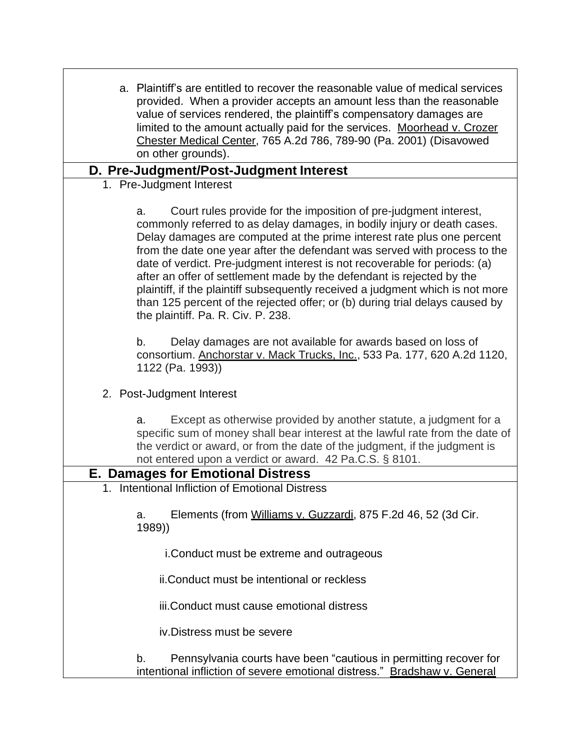| a. Plaintiff's are entitled to recover the reasonable value of medical services<br>provided. When a provider accepts an amount less than the reasonable<br>value of services rendered, the plaintiff's compensatory damages are<br>limited to the amount actually paid for the services. Moorhead v. Crozer<br>Chester Medical Center, 765 A.2d 786, 789-90 (Pa. 2001) (Disavowed<br>on other grounds).                                                                                                                                                                                                                                                                 |
|-------------------------------------------------------------------------------------------------------------------------------------------------------------------------------------------------------------------------------------------------------------------------------------------------------------------------------------------------------------------------------------------------------------------------------------------------------------------------------------------------------------------------------------------------------------------------------------------------------------------------------------------------------------------------|
| D. Pre-Judgment/Post-Judgment Interest                                                                                                                                                                                                                                                                                                                                                                                                                                                                                                                                                                                                                                  |
| 1. Pre-Judgment Interest                                                                                                                                                                                                                                                                                                                                                                                                                                                                                                                                                                                                                                                |
| Court rules provide for the imposition of pre-judgment interest,<br>a.<br>commonly referred to as delay damages, in bodily injury or death cases.<br>Delay damages are computed at the prime interest rate plus one percent<br>from the date one year after the defendant was served with process to the<br>date of verdict. Pre-judgment interest is not recoverable for periods: (a)<br>after an offer of settlement made by the defendant is rejected by the<br>plaintiff, if the plaintiff subsequently received a judgment which is not more<br>than 125 percent of the rejected offer; or (b) during trial delays caused by<br>the plaintiff. Pa. R. Civ. P. 238. |
| Delay damages are not available for awards based on loss of<br>b.<br>consortium. Anchorstar v. Mack Trucks, Inc., 533 Pa. 177, 620 A.2d 1120,<br>1122 (Pa. 1993))                                                                                                                                                                                                                                                                                                                                                                                                                                                                                                       |
| 2. Post-Judgment Interest                                                                                                                                                                                                                                                                                                                                                                                                                                                                                                                                                                                                                                               |
| Except as otherwise provided by another statute, a judgment for a<br>a.<br>specific sum of money shall bear interest at the lawful rate from the date of<br>the verdict or award, or from the date of the judgment, if the judgment is<br>not entered upon a verdict or award. 42 Pa.C.S. § 8101.                                                                                                                                                                                                                                                                                                                                                                       |
| <b>E. Damages for Emotional Distress</b>                                                                                                                                                                                                                                                                                                                                                                                                                                                                                                                                                                                                                                |
| <b>Intentional Infliction of Emotional Distress</b>                                                                                                                                                                                                                                                                                                                                                                                                                                                                                                                                                                                                                     |
| Elements (from Williams v. Guzzardi, 875 F.2d 46, 52 (3d Cir.<br>a.<br>1989))                                                                                                                                                                                                                                                                                                                                                                                                                                                                                                                                                                                           |
| i. Conduct must be extreme and outrageous                                                                                                                                                                                                                                                                                                                                                                                                                                                                                                                                                                                                                               |
| ii. Conduct must be intentional or reckless                                                                                                                                                                                                                                                                                                                                                                                                                                                                                                                                                                                                                             |
| iii. Conduct must cause emotional distress                                                                                                                                                                                                                                                                                                                                                                                                                                                                                                                                                                                                                              |
| iv. Distress must be severe                                                                                                                                                                                                                                                                                                                                                                                                                                                                                                                                                                                                                                             |
| Pennsylvania courts have been "cautious in permitting recover for<br>b.<br>intentional infliction of severe emotional distress." Bradshaw v. General                                                                                                                                                                                                                                                                                                                                                                                                                                                                                                                    |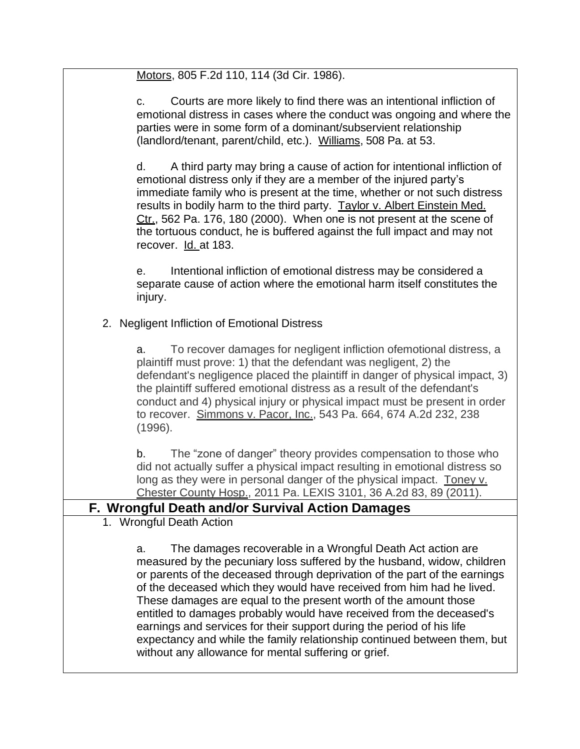Motors, 805 F.2d 110, 114 (3d Cir. 1986).

c. Courts are more likely to find there was an intentional infliction of emotional distress in cases where the conduct was ongoing and where the parties were in some form of a dominant/subservient relationship (landlord/tenant, parent/child, etc.). Williams, 508 Pa. at 53.

d. A third party may bring a cause of action for intentional infliction of emotional distress only if they are a member of the injured party's immediate family who is present at the time, whether or not such distress results in bodily harm to the third party. Taylor v. Albert Einstein Med. Ctr., 562 Pa. 176, 180 (2000). When one is not present at the scene of the tortuous conduct, he is buffered against the full impact and may not recover. Id. at 183.

e. Intentional infliction of emotional distress may be considered a separate cause of action where the emotional harm itself constitutes the injury.

2. Negligent Infliction of Emotional Distress

a. To recover damages for negligent infliction ofemotional distress, a plaintiff must prove: 1) that the defendant was negligent, 2) the defendant's negligence placed the plaintiff in danger of physical impact, 3) the plaintiff suffered emotional distress as a result of the defendant's conduct and 4) physical injury or physical impact must be present in order to recover. Simmons v. Pacor, Inc., 543 Pa. 664, 674 A.2d 232, 238 (1996).

b. The "zone of danger" theory provides compensation to those who did not actually suffer a physical impact resulting in emotional distress so long as they were in personal danger of the physical impact. Toney v. Chester County Hosp., 2011 Pa. LEXIS 3101, 36 A.2d 83, 89 (2011).

# **F. Wrongful Death and/or Survival Action Damages**

1. Wrongful Death Action

a. The damages recoverable in a Wrongful Death Act action are measured by the pecuniary loss suffered by the husband, widow, children or parents of the deceased through deprivation of the part of the earnings of the deceased which they would have received from him had he lived. These damages are equal to the present worth of the amount those entitled to damages probably would have received from the deceased's earnings and services for their support during the period of his life expectancy and while the family relationship continued between them, but without any allowance for mental suffering or grief.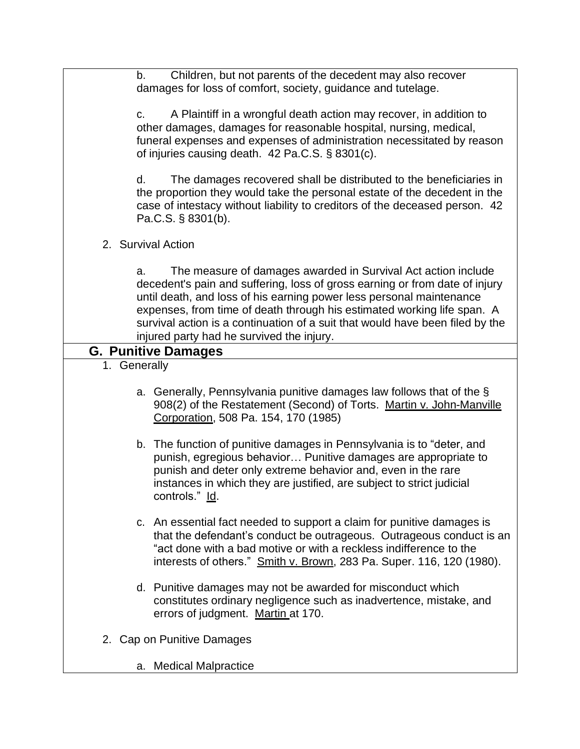b. Children, but not parents of the decedent may also recover damages for loss of comfort, society, guidance and tutelage.

c. A Plaintiff in a wrongful death action may recover, in addition to other damages, damages for reasonable hospital, nursing, medical, funeral expenses and expenses of administration necessitated by reason of injuries causing death. 42 Pa.C.S. § 8301(c).

d. The damages recovered shall be distributed to the beneficiaries in the proportion they would take the personal estate of the decedent in the case of intestacy without liability to creditors of the deceased person. 42 Pa.C.S. § 8301(b).

2. Survival Action

a. The measure of damages awarded in Survival Act action include decedent's pain and suffering, loss of gross earning or from date of injury until death, and loss of his earning power less personal maintenance expenses, from time of death through his estimated working life span. A survival action is a continuation of a suit that would have been filed by the injured party had he survived the injury.

# **G. Punitive Damages**

- 1. Generally
	- a. Generally, Pennsylvania punitive damages law follows that of the § 908(2) of the Restatement (Second) of Torts. Martin v. John-Manville Corporation, 508 Pa. 154, 170 (1985)
	- b. The function of punitive damages in Pennsylvania is to "deter, and punish, egregious behavior… Punitive damages are appropriate to punish and deter only extreme behavior and, even in the rare instances in which they are justified, are subject to strict judicial controls." Id.
	- c. An essential fact needed to support a claim for punitive damages is that the defendant's conduct be outrageous. Outrageous conduct is an "act done with a bad motive or with a reckless indifference to the interests of others." Smith v. Brown, 283 Pa. Super. 116, 120 (1980).
	- d. Punitive damages may not be awarded for misconduct which constitutes ordinary negligence such as inadvertence, mistake, and errors of judgment. Martin at 170.
- 2. Cap on Punitive Damages
	- a. Medical Malpractice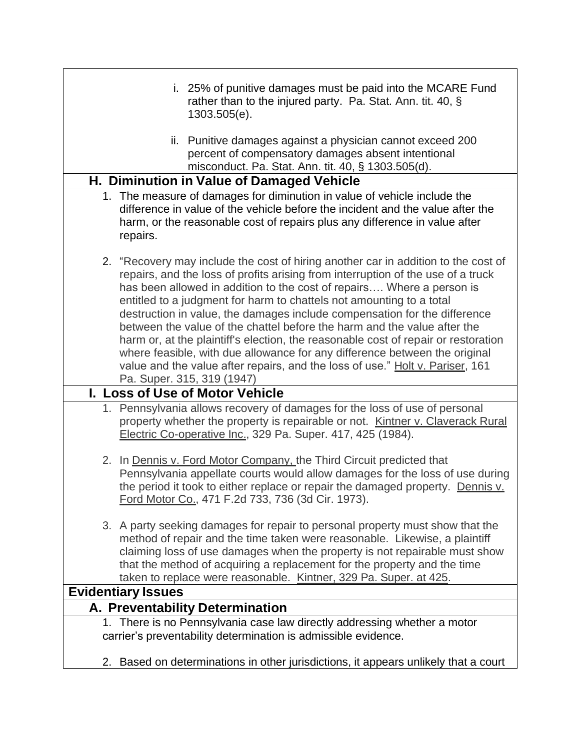| i. 25% of punitive damages must be paid into the MCARE Fund<br>rather than to the injured party. Pa. Stat. Ann. tit. 40, $\S$<br>1303.505(e).                                                                                                                                                                                                                                                                                                                                                                                                                                                                                                                                                                                                                       |
|---------------------------------------------------------------------------------------------------------------------------------------------------------------------------------------------------------------------------------------------------------------------------------------------------------------------------------------------------------------------------------------------------------------------------------------------------------------------------------------------------------------------------------------------------------------------------------------------------------------------------------------------------------------------------------------------------------------------------------------------------------------------|
| ii. Punitive damages against a physician cannot exceed 200<br>percent of compensatory damages absent intentional<br>misconduct. Pa. Stat. Ann. tit. 40, § 1303.505(d).                                                                                                                                                                                                                                                                                                                                                                                                                                                                                                                                                                                              |
| H. Diminution in Value of Damaged Vehicle                                                                                                                                                                                                                                                                                                                                                                                                                                                                                                                                                                                                                                                                                                                           |
| 1. The measure of damages for diminution in value of vehicle include the<br>difference in value of the vehicle before the incident and the value after the<br>harm, or the reasonable cost of repairs plus any difference in value after<br>repairs.                                                                                                                                                                                                                                                                                                                                                                                                                                                                                                                |
| 2. "Recovery may include the cost of hiring another car in addition to the cost of<br>repairs, and the loss of profits arising from interruption of the use of a truck<br>has been allowed in addition to the cost of repairs Where a person is<br>entitled to a judgment for harm to chattels not amounting to a total<br>destruction in value, the damages include compensation for the difference<br>between the value of the chattel before the harm and the value after the<br>harm or, at the plaintiff's election, the reasonable cost of repair or restoration<br>where feasible, with due allowance for any difference between the original<br>value and the value after repairs, and the loss of use." Holt v. Pariser, 161<br>Pa. Super. 315, 319 (1947) |
| I. Loss of Use of Motor Vehicle                                                                                                                                                                                                                                                                                                                                                                                                                                                                                                                                                                                                                                                                                                                                     |
| 1. Pennsylvania allows recovery of damages for the loss of use of personal<br>property whether the property is repairable or not. Kintner v. Claverack Rural<br>Electric Co-operative Inc., 329 Pa. Super. 417, 425 (1984).                                                                                                                                                                                                                                                                                                                                                                                                                                                                                                                                         |
| 2. In Dennis v. Ford Motor Company, the Third Circuit predicted that<br>Pennsylvania appellate courts would allow damages for the loss of use during<br>the period it took to either replace or repair the damaged property. Dennis v.<br>Ford Motor Co., 471 F.2d 733, 736 (3d Cir. 1973).                                                                                                                                                                                                                                                                                                                                                                                                                                                                         |
| 3. A party seeking damages for repair to personal property must show that the<br>method of repair and the time taken were reasonable. Likewise, a plaintiff<br>claiming loss of use damages when the property is not repairable must show<br>that the method of acquiring a replacement for the property and the time<br>taken to replace were reasonable. Kintner, 329 Pa. Super. at 425.                                                                                                                                                                                                                                                                                                                                                                          |
| <b>Evidentiary Issues</b>                                                                                                                                                                                                                                                                                                                                                                                                                                                                                                                                                                                                                                                                                                                                           |
| A. Preventability Determination                                                                                                                                                                                                                                                                                                                                                                                                                                                                                                                                                                                                                                                                                                                                     |
| 1. There is no Pennsylvania case law directly addressing whether a motor<br>carrier's preventability determination is admissible evidence.                                                                                                                                                                                                                                                                                                                                                                                                                                                                                                                                                                                                                          |
| 2. Based on determinations in other jurisdictions, it appears unlikely that a court                                                                                                                                                                                                                                                                                                                                                                                                                                                                                                                                                                                                                                                                                 |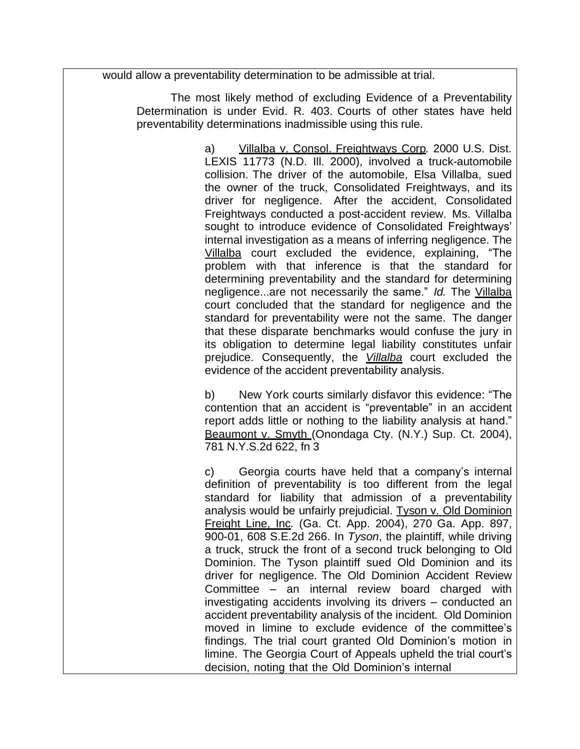would allow a preventability determination to be admissible at trial.

The most likely method of excluding Evidence of a Preventability Determination is under Evid. R. 403. Courts of other states have held preventability determinations inadmissible using this rule.

> a) Villalba v. Consol. Freightways Corp*.* 2000 U.S. Dist. LEXIS 11773 (N.D. Ill. 2000), involved a truck-automobile collision. The driver of the automobile, Elsa Villalba, sued the owner of the truck, Consolidated Freightways, and its driver for negligence. After the accident, Consolidated Freightways conducted a post-accident review. Ms. Villalba sought to introduce evidence of Consolidated Freightways' internal investigation as a means of inferring negligence. The Villalba court excluded the evidence, explaining, "The problem with that inference is that the standard for determining preventability and the standard for determining negligence...are not necessarily the same." *Id.* The Villalba court concluded that the standard for negligence and the standard for preventability were not the same. The danger that these disparate benchmarks would confuse the jury in its obligation to determine legal liability constitutes unfair prejudice. Consequently, the *Villalba* court excluded the evidence of the accident preventability analysis.

> b) New York courts similarly disfavor this evidence: "The contention that an accident is "preventable" in an accident report adds little or nothing to the liability analysis at hand." Beaumont v. Smyth (Onondaga Cty. (N.Y.) Sup. Ct. 2004), 781 N.Y.S.2d 622, fn 3

> c) Georgia courts have held that a company's internal definition of preventability is too different from the legal standard for liability that admission of a preventability analysis would be unfairly prejudicial. Tyson v. Old Dominion Freight Line, Inc*.* (Ga. Ct. App. 2004), 270 Ga. App. 897, 900-01, 608 S.E.2d 266. In *Tyson*, the plaintiff, while driving a truck, struck the front of a second truck belonging to Old Dominion. The Tyson plaintiff sued Old Dominion and its driver for negligence. The Old Dominion Accident Review Committee – an internal review board charged with investigating accidents involving its drivers – conducted an accident preventability analysis of the incident. Old Dominion moved in limine to exclude evidence of the committee's findings. The trial court granted Old Dominion's motion in limine. The Georgia Court of Appeals upheld the trial court's decision, noting that the Old Dominion's internal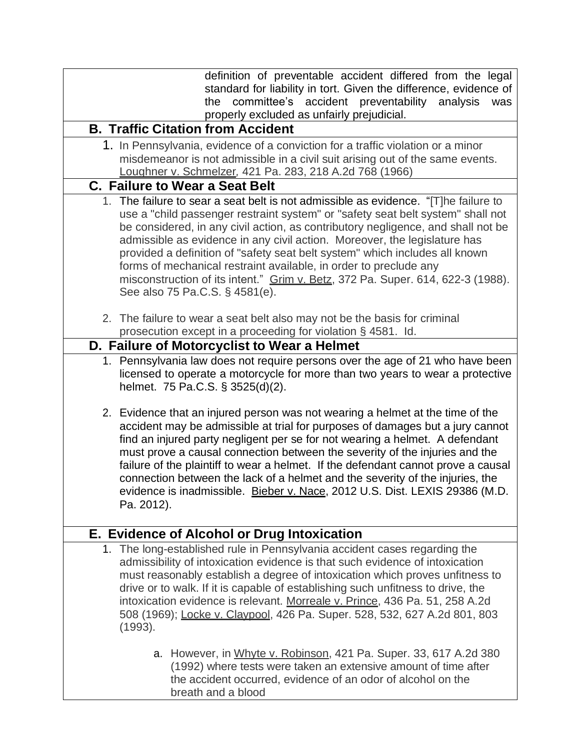| definition of preventable accident differed from the legal<br>standard for liability in tort. Given the difference, evidence of<br>accident preventability<br>committee's<br>analysis<br>the<br>was<br>properly excluded as unfairly prejudicial.                                                                                                                                                                                                                                                                                                                                                                |
|------------------------------------------------------------------------------------------------------------------------------------------------------------------------------------------------------------------------------------------------------------------------------------------------------------------------------------------------------------------------------------------------------------------------------------------------------------------------------------------------------------------------------------------------------------------------------------------------------------------|
| <b>B. Traffic Citation from Accident</b>                                                                                                                                                                                                                                                                                                                                                                                                                                                                                                                                                                         |
| 1. In Pennsylvania, evidence of a conviction for a traffic violation or a minor                                                                                                                                                                                                                                                                                                                                                                                                                                                                                                                                  |
| misdemeanor is not admissible in a civil suit arising out of the same events.<br>Loughner v. Schmelzer, 421 Pa. 283, 218 A.2d 768 (1966)                                                                                                                                                                                                                                                                                                                                                                                                                                                                         |
| <b>C. Failure to Wear a Seat Belt</b>                                                                                                                                                                                                                                                                                                                                                                                                                                                                                                                                                                            |
| 1. The failure to sear a seat belt is not admissible as evidence. "[T]he failure to<br>use a "child passenger restraint system" or "safety seat belt system" shall not<br>be considered, in any civil action, as contributory negligence, and shall not be<br>admissible as evidence in any civil action. Moreover, the legislature has<br>provided a definition of "safety seat belt system" which includes all known<br>forms of mechanical restraint available, in order to preclude any<br>misconstruction of its intent." Grim v. Betz, 372 Pa. Super. 614, 622-3 (1988).<br>See also 75 Pa.C.S. § 4581(e). |
| 2. The failure to wear a seat belt also may not be the basis for criminal                                                                                                                                                                                                                                                                                                                                                                                                                                                                                                                                        |
| prosecution except in a proceeding for violation § 4581. Id.<br>D. Failure of Motorcyclist to Wear a Helmet                                                                                                                                                                                                                                                                                                                                                                                                                                                                                                      |
| 1. Pennsylvania law does not require persons over the age of 21 who have been                                                                                                                                                                                                                                                                                                                                                                                                                                                                                                                                    |
| licensed to operate a motorcycle for more than two years to wear a protective<br>helmet. 75 Pa.C.S. § 3525(d)(2).                                                                                                                                                                                                                                                                                                                                                                                                                                                                                                |
| 2. Evidence that an injured person was not wearing a helmet at the time of the<br>accident may be admissible at trial for purposes of damages but a jury cannot<br>find an injured party negligent per se for not wearing a helmet. A defendant<br>must prove a causal connection between the severity of the injuries and the<br>failure of the plaintiff to wear a helmet. If the defendant cannot prove a causal<br>connection between the lack of a helmet and the severity of the injuries, the<br>evidence is inadmissible. Bieber v. Nace, 2012 U.S. Dist. LEXIS 29386 (M.D.<br>Pa. 2012).                |
| E. Evidence of Alcohol or Drug Intoxication                                                                                                                                                                                                                                                                                                                                                                                                                                                                                                                                                                      |
| 1. The long-established rule in Pennsylvania accident cases regarding the<br>admissibility of intoxication evidence is that such evidence of intoxication<br>must reasonably establish a degree of intoxication which proves unfitness to<br>drive or to walk. If it is capable of establishing such unfitness to drive, the<br>intoxication evidence is relevant. Morreale v. Prince, 436 Pa. 51, 258 A.2d<br>508 (1969); Locke v. Claypool, 426 Pa. Super. 528, 532, 627 A.2d 801, 803<br>(1993).                                                                                                              |
| a. However, in Whyte v. Robinson, 421 Pa. Super. 33, 617 A.2d 380<br>(1992) where tests were taken an extensive amount of time after<br>the accident occurred, evidence of an odor of alcohol on the<br>breath and a blood                                                                                                                                                                                                                                                                                                                                                                                       |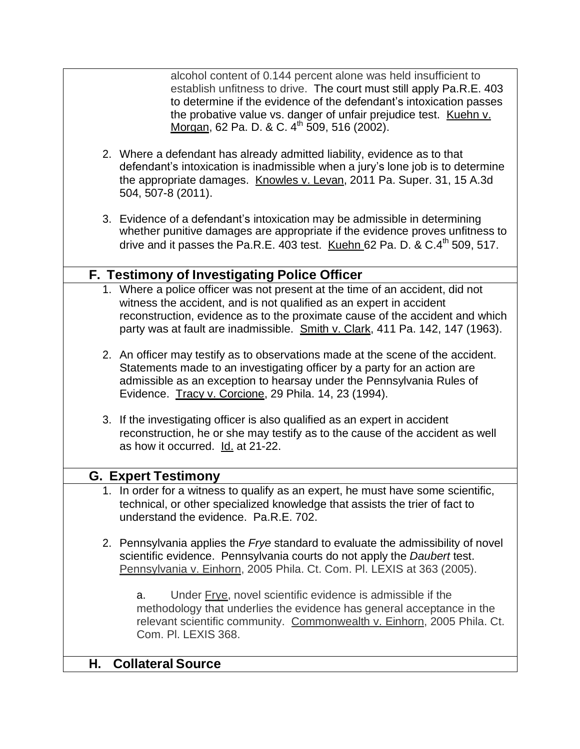alcohol content of 0.144 percent alone was held insufficient to establish unfitness to drive. The court must still apply Pa.R.E. 403 to determine if the evidence of the defendant's intoxication passes the probative value vs. danger of unfair prejudice test. Kuehn v. Morgan, 62 Pa. D. & C. 4<sup>th</sup> 509, 516 (2002).

- 2. Where a defendant has already admitted liability, evidence as to that defendant's intoxication is inadmissible when a jury's lone job is to determine the appropriate damages. Knowles v. Levan, 2011 Pa. Super. 31, 15 A.3d 504, 507-8 (2011).
- 3. Evidence of a defendant's intoxication may be admissible in determining whether punitive damages are appropriate if the evidence proves unfitness to drive and it passes the Pa.R.E. 403 test. Kuehn 62 Pa. D. &  $C.4<sup>th</sup>$  509. 517.

## **F. Testimony of Investigating Police Officer**

- 1. Where a police officer was not present at the time of an accident, did not witness the accident, and is not qualified as an expert in accident reconstruction, evidence as to the proximate cause of the accident and which party was at fault are inadmissible. Smith v. Clark, 411 Pa. 142, 147 (1963).
- 2. An officer may testify as to observations made at the scene of the accident. Statements made to an investigating officer by a party for an action are admissible as an exception to hearsay under the Pennsylvania Rules of Evidence. Tracy v. Corcione, 29 Phila. 14, 23 (1994).
- 3. If the investigating officer is also qualified as an expert in accident reconstruction, he or she may testify as to the cause of the accident as well as how it occurred. **Id.** at 21-22.

### **G. Expert Testimony**

- 1. In order for a witness to qualify as an expert, he must have some scientific, technical, or other specialized knowledge that assists the trier of fact to understand the evidence. Pa.R.E. 702.
- 2. Pennsylvania applies the *Frye* standard to evaluate the admissibility of novel scientific evidence. Pennsylvania courts do not apply the *Daubert* test. Pennsylvania v. Einhorn, 2005 Phila. Ct. Com. Pl. LEXIS at 363 (2005).

a. Under Frye, novel scientific evidence is admissible if the methodology that underlies the evidence has general acceptance in the relevant scientific community. Commonwealth v. Einhorn, 2005 Phila. Ct. Com. Pl. LEXIS 368.

### **H. Collateral Source**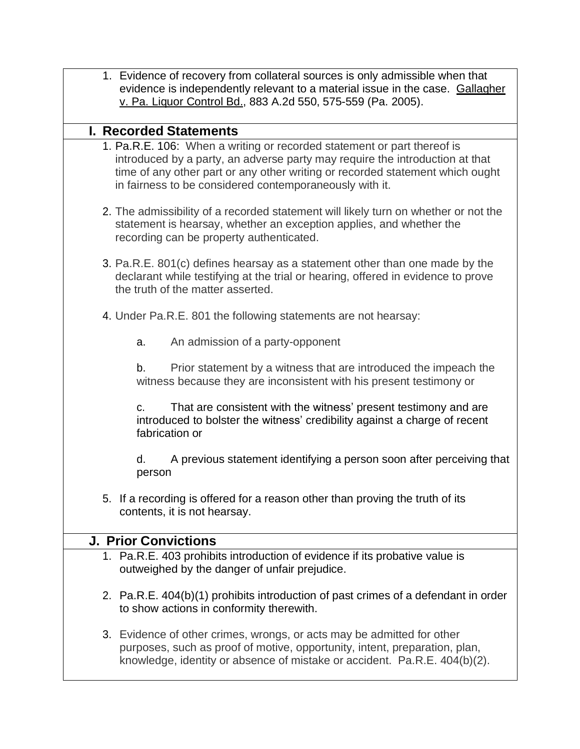- 1. Evidence of recovery from collateral sources is only admissible when that evidence is independently relevant to a material issue in the case. Gallagher v. Pa. Liquor Control Bd., 883 A.2d 550, 575-559 (Pa. 2005). **I. Recorded Statements** 1. Pa.R.E. 106: When a writing or recorded statement or part thereof is introduced by a party, an adverse party may require the introduction at that time of any other part or any other writing or recorded statement which ought in fairness to be considered contemporaneously with it. 2. The admissibility of a recorded statement will likely turn on whether or not the statement is hearsay, whether an exception applies, and whether the recording can be property authenticated.
	- 3. Pa.R.E. 801(c) defines hearsay as a statement other than one made by the declarant while testifying at the trial or hearing, offered in evidence to prove the truth of the matter asserted.
	- 4. Under Pa.R.E. 801 the following statements are not hearsay:
		- a. An admission of a party-opponent

b. Prior statement by a witness that are introduced the impeach the witness because they are inconsistent with his present testimony or

c. That are consistent with the witness' present testimony and are introduced to bolster the witness' credibility against a charge of recent fabrication or

d. A previous statement identifying a person soon after perceiving that person

5. If a recording is offered for a reason other than proving the truth of its contents, it is not hearsay.

# **J. Prior Convictions**

- 1. Pa.R.E. 403 prohibits introduction of evidence if its probative value is outweighed by the danger of unfair prejudice.
- 2. Pa.R.E. 404(b)(1) prohibits introduction of past crimes of a defendant in order to show actions in conformity therewith.
- 3. Evidence of other crimes, wrongs, or acts may be admitted for other purposes, such as proof of motive, opportunity, intent, preparation, plan, knowledge, identity or absence of mistake or accident. Pa.R.E. 404(b)(2).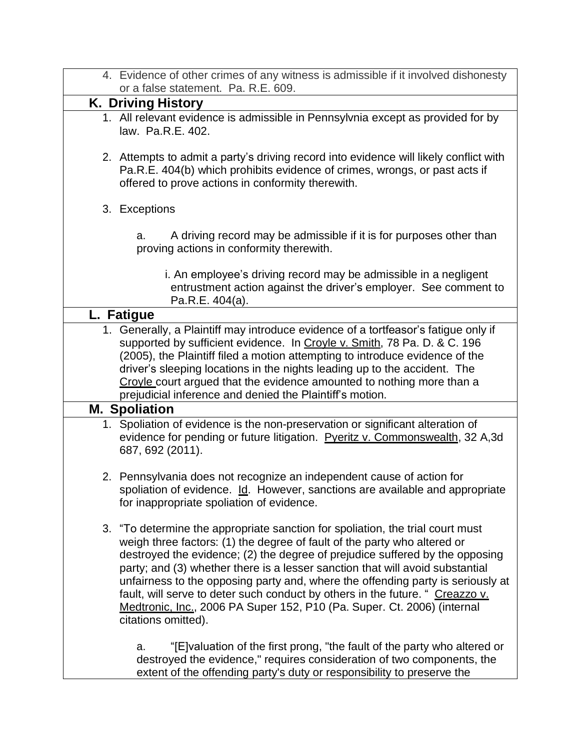| 4. Evidence of other crimes of any witness is admissible if it involved dishonesty<br>or a false statement. Pa. R.E. 609.                                                                                                                                                                                                                                                                                                                                                                                                                                                                         |
|---------------------------------------------------------------------------------------------------------------------------------------------------------------------------------------------------------------------------------------------------------------------------------------------------------------------------------------------------------------------------------------------------------------------------------------------------------------------------------------------------------------------------------------------------------------------------------------------------|
| <b>K. Driving History</b>                                                                                                                                                                                                                                                                                                                                                                                                                                                                                                                                                                         |
| 1. All relevant evidence is admissible in Pennsylvnia except as provided for by<br>law. Pa.R.E. 402.                                                                                                                                                                                                                                                                                                                                                                                                                                                                                              |
| 2. Attempts to admit a party's driving record into evidence will likely conflict with<br>Pa.R.E. 404(b) which prohibits evidence of crimes, wrongs, or past acts if<br>offered to prove actions in conformity therewith.                                                                                                                                                                                                                                                                                                                                                                          |
| 3. Exceptions                                                                                                                                                                                                                                                                                                                                                                                                                                                                                                                                                                                     |
| A driving record may be admissible if it is for purposes other than<br>a.<br>proving actions in conformity therewith.                                                                                                                                                                                                                                                                                                                                                                                                                                                                             |
| i. An employee's driving record may be admissible in a negligent<br>entrustment action against the driver's employer. See comment to<br>Pa.R.E. 404(a).                                                                                                                                                                                                                                                                                                                                                                                                                                           |
| L. Fatigue                                                                                                                                                                                                                                                                                                                                                                                                                                                                                                                                                                                        |
| 1. Generally, a Plaintiff may introduce evidence of a tortfeasor's fatigue only if<br>supported by sufficient evidence. In Croyle v. Smith, 78 Pa. D. & C. 196<br>(2005), the Plaintiff filed a motion attempting to introduce evidence of the<br>driver's sleeping locations in the nights leading up to the accident. The<br>Croyle court argued that the evidence amounted to nothing more than a<br>prejudicial inference and denied the Plaintiff's motion.                                                                                                                                  |
| <b>M. Spoliation</b>                                                                                                                                                                                                                                                                                                                                                                                                                                                                                                                                                                              |
| 1. Spoliation of evidence is the non-preservation or significant alteration of<br>evidence for pending or future litigation. Pveritz v. Commonswealth, 32 A,3d<br>687, 692 (2011).                                                                                                                                                                                                                                                                                                                                                                                                                |
| 2. Pennsylvania does not recognize an independent cause of action for<br>spoliation of evidence. Id. However, sanctions are available and appropriate<br>for inappropriate spoliation of evidence.                                                                                                                                                                                                                                                                                                                                                                                                |
| 3. "To determine the appropriate sanction for spoliation, the trial court must<br>weigh three factors: (1) the degree of fault of the party who altered or<br>destroyed the evidence; (2) the degree of prejudice suffered by the opposing<br>party; and (3) whether there is a lesser sanction that will avoid substantial<br>unfairness to the opposing party and, where the offending party is seriously at<br>fault, will serve to deter such conduct by others in the future. " Creazzo v.<br>Medtronic, Inc., 2006 PA Super 152, P10 (Pa. Super. Ct. 2006) (internal<br>citations omitted). |
| "[E] valuation of the first prong, "the fault of the party who altered or<br>a.<br>destroyed the evidence," requires consideration of two components, the<br>extent of the offending party's duty or responsibility to preserve the                                                                                                                                                                                                                                                                                                                                                               |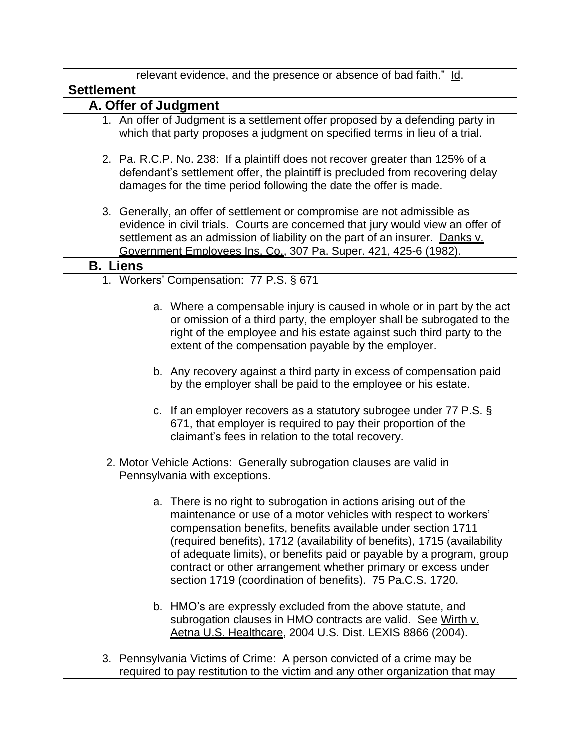| relevant evidence, and the presence or absence of bad faith." Id.                                                                                                                                                                                                                                                                                                                                                                                                                      |  |
|----------------------------------------------------------------------------------------------------------------------------------------------------------------------------------------------------------------------------------------------------------------------------------------------------------------------------------------------------------------------------------------------------------------------------------------------------------------------------------------|--|
| <b>Settlement</b>                                                                                                                                                                                                                                                                                                                                                                                                                                                                      |  |
| A. Offer of Judgment                                                                                                                                                                                                                                                                                                                                                                                                                                                                   |  |
| 1. An offer of Judgment is a settlement offer proposed by a defending party in<br>which that party proposes a judgment on specified terms in lieu of a trial.                                                                                                                                                                                                                                                                                                                          |  |
| 2. Pa. R.C.P. No. 238: If a plaintiff does not recover greater than 125% of a<br>defendant's settlement offer, the plaintiff is precluded from recovering delay<br>damages for the time period following the date the offer is made.                                                                                                                                                                                                                                                   |  |
| 3. Generally, an offer of settlement or compromise are not admissible as<br>evidence in civil trials. Courts are concerned that jury would view an offer of<br>settlement as an admission of liability on the part of an insurer. Danks v.<br>Government Employees Ins. Co., 307 Pa. Super. 421, 425-6 (1982).                                                                                                                                                                         |  |
| <b>B.</b> Liens                                                                                                                                                                                                                                                                                                                                                                                                                                                                        |  |
| 1. Workers' Compensation: 77 P.S. § 671                                                                                                                                                                                                                                                                                                                                                                                                                                                |  |
| a. Where a compensable injury is caused in whole or in part by the act<br>or omission of a third party, the employer shall be subrogated to the<br>right of the employee and his estate against such third party to the<br>extent of the compensation payable by the employer.                                                                                                                                                                                                         |  |
| b. Any recovery against a third party in excess of compensation paid<br>by the employer shall be paid to the employee or his estate.                                                                                                                                                                                                                                                                                                                                                   |  |
| c. If an employer recovers as a statutory subrogee under $77$ P.S. $\S$<br>671, that employer is required to pay their proportion of the<br>claimant's fees in relation to the total recovery.                                                                                                                                                                                                                                                                                         |  |
| 2. Motor Vehicle Actions: Generally subrogation clauses are valid in<br>Pennsylvania with exceptions.                                                                                                                                                                                                                                                                                                                                                                                  |  |
| a. There is no right to subrogation in actions arising out of the<br>maintenance or use of a motor vehicles with respect to workers'<br>compensation benefits, benefits available under section 1711<br>(required benefits), 1712 (availability of benefits), 1715 (availability<br>of adequate limits), or benefits paid or payable by a program, group<br>contract or other arrangement whether primary or excess under<br>section 1719 (coordination of benefits). 75 Pa.C.S. 1720. |  |
| b. HMO's are expressly excluded from the above statute, and<br>subrogation clauses in HMO contracts are valid. See Wirth v.<br>Aetna U.S. Healthcare, 2004 U.S. Dist. LEXIS 8866 (2004).                                                                                                                                                                                                                                                                                               |  |
| 3. Pennsylvania Victims of Crime: A person convicted of a crime may be<br>required to pay restitution to the victim and any other organization that may                                                                                                                                                                                                                                                                                                                                |  |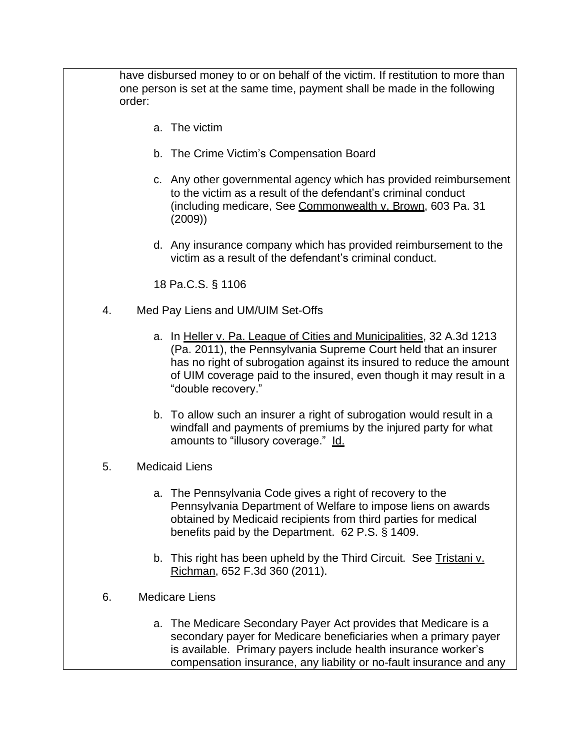have disbursed money to or on behalf of the victim. If restitution to more than one person is set at the same time, payment shall be made in the following order:

- a. The victim
- b. The Crime Victim's Compensation Board
- c. Any other governmental agency which has provided reimbursement to the victim as a result of the defendant's criminal conduct (including medicare, See Commonwealth v. Brown, 603 Pa. 31 (2009))
- d. Any insurance company which has provided reimbursement to the victim as a result of the defendant's criminal conduct.

18 Pa.C.S. § 1106

- 4. Med Pay Liens and UM/UIM Set-Offs
	- a. In Heller v. Pa. League of Cities and Municipalities, 32 A.3d 1213 (Pa. 2011), the Pennsylvania Supreme Court held that an insurer has no right of subrogation against its insured to reduce the amount of UIM coverage paid to the insured, even though it may result in a "double recovery."
	- b. To allow such an insurer a right of subrogation would result in a windfall and payments of premiums by the injured party for what amounts to "illusory coverage." Id.
- 5. Medicaid Liens
	- a. The Pennsylvania Code gives a right of recovery to the Pennsylvania Department of Welfare to impose liens on awards obtained by Medicaid recipients from third parties for medical benefits paid by the Department. 62 P.S. § 1409.
	- b. This right has been upheld by the Third Circuit. See Tristani v. Richman, 652 F.3d 360 (2011).
- 6. Medicare Liens
	- a. The Medicare Secondary Payer Act provides that Medicare is a secondary payer for Medicare beneficiaries when a primary payer is available. Primary payers include health insurance worker's compensation insurance, any liability or no-fault insurance and any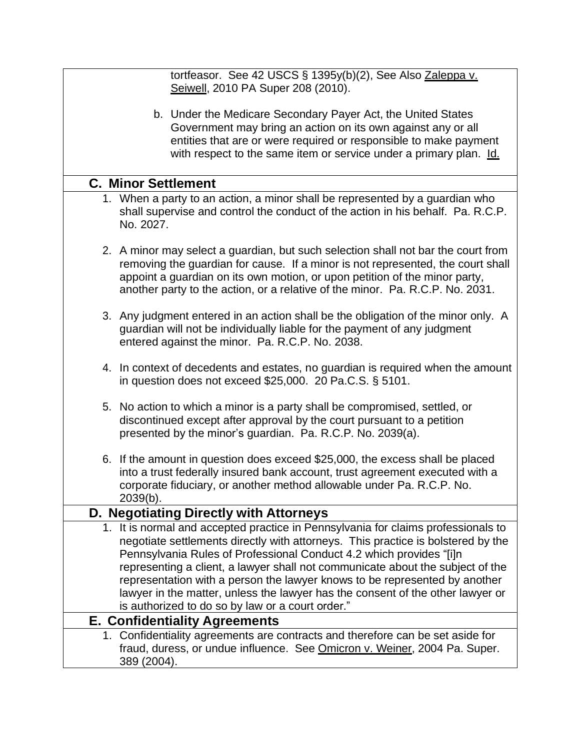| tortfeasor. See 42 USCS § 1395y(b)(2), See Also Zaleppa v.<br>Seiwell, 2010 PA Super 208 (2010).                                                                                                                                                                                                                                                                                                                                                                                                                                                   |
|----------------------------------------------------------------------------------------------------------------------------------------------------------------------------------------------------------------------------------------------------------------------------------------------------------------------------------------------------------------------------------------------------------------------------------------------------------------------------------------------------------------------------------------------------|
| b. Under the Medicare Secondary Payer Act, the United States<br>Government may bring an action on its own against any or all<br>entities that are or were required or responsible to make payment<br>with respect to the same item or service under a primary plan. Id.                                                                                                                                                                                                                                                                            |
| <b>C. Minor Settlement</b>                                                                                                                                                                                                                                                                                                                                                                                                                                                                                                                         |
| 1. When a party to an action, a minor shall be represented by a guardian who<br>shall supervise and control the conduct of the action in his behalf. Pa. R.C.P.<br>No. 2027.                                                                                                                                                                                                                                                                                                                                                                       |
| 2. A minor may select a guardian, but such selection shall not bar the court from<br>removing the guardian for cause. If a minor is not represented, the court shall<br>appoint a guardian on its own motion, or upon petition of the minor party,<br>another party to the action, or a relative of the minor. Pa. R.C.P. No. 2031.                                                                                                                                                                                                                |
| 3. Any judgment entered in an action shall be the obligation of the minor only. A<br>guardian will not be individually liable for the payment of any judgment<br>entered against the minor. Pa. R.C.P. No. 2038.                                                                                                                                                                                                                                                                                                                                   |
| 4. In context of decedents and estates, no guardian is required when the amount<br>in question does not exceed $$25,000$ . 20 Pa.C.S. § 5101.                                                                                                                                                                                                                                                                                                                                                                                                      |
| 5. No action to which a minor is a party shall be compromised, settled, or<br>discontinued except after approval by the court pursuant to a petition<br>presented by the minor's guardian. Pa. R.C.P. No. 2039(a).                                                                                                                                                                                                                                                                                                                                 |
| 6. If the amount in question does exceed \$25,000, the excess shall be placed<br>into a trust federally insured bank account, trust agreement executed with a<br>corporate fiduciary, or another method allowable under Pa. R.C.P. No.<br>2039(b).                                                                                                                                                                                                                                                                                                 |
| D. Negotiating Directly with Attorneys                                                                                                                                                                                                                                                                                                                                                                                                                                                                                                             |
| 1. It is normal and accepted practice in Pennsylvania for claims professionals to<br>negotiate settlements directly with attorneys. This practice is bolstered by the<br>Pennsylvania Rules of Professional Conduct 4.2 which provides "[i]n<br>representing a client, a lawyer shall not communicate about the subject of the<br>representation with a person the lawyer knows to be represented by another<br>lawyer in the matter, unless the lawyer has the consent of the other lawyer or<br>is authorized to do so by law or a court order." |
| <b>E. Confidentiality Agreements</b>                                                                                                                                                                                                                                                                                                                                                                                                                                                                                                               |
| 1. Confidentiality agreements are contracts and therefore can be set aside for<br>fraud, duress, or undue influence. See Omicron v. Weiner, 2004 Pa. Super.<br>389 (2004).                                                                                                                                                                                                                                                                                                                                                                         |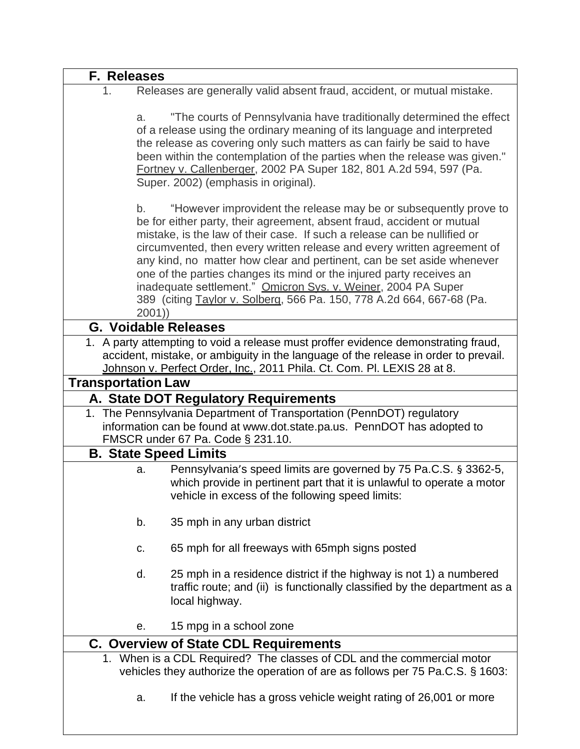| F. Releases               |                                                                                                                                                                                                                                                                                                                                                                                                                                                                                                                                                                                                              |
|---------------------------|--------------------------------------------------------------------------------------------------------------------------------------------------------------------------------------------------------------------------------------------------------------------------------------------------------------------------------------------------------------------------------------------------------------------------------------------------------------------------------------------------------------------------------------------------------------------------------------------------------------|
| 1.                        | Releases are generally valid absent fraud, accident, or mutual mistake.                                                                                                                                                                                                                                                                                                                                                                                                                                                                                                                                      |
|                           | "The courts of Pennsylvania have traditionally determined the effect<br>a.<br>of a release using the ordinary meaning of its language and interpreted<br>the release as covering only such matters as can fairly be said to have<br>been within the contemplation of the parties when the release was given."<br>Fortney v. Callenberger, 2002 PA Super 182, 801 A.2d 594, 597 (Pa.<br>Super. 2002) (emphasis in original).                                                                                                                                                                                  |
|                           | "However improvident the release may be or subsequently prove to<br>b.<br>be for either party, their agreement, absent fraud, accident or mutual<br>mistake, is the law of their case. If such a release can be nullified or<br>circumvented, then every written release and every written agreement of<br>any kind, no matter how clear and pertinent, can be set aside whenever<br>one of the parties changes its mind or the injured party receives an<br>inadequate settlement." Omicron Sys. v. Weiner, 2004 PA Super<br>389 (citing Taylor v. Solberg, 566 Pa. 150, 778 A.2d 664, 667-68 (Pa.<br>2001) |
|                           | <b>G. Voidable Releases</b>                                                                                                                                                                                                                                                                                                                                                                                                                                                                                                                                                                                  |
|                           | 1. A party attempting to void a release must proffer evidence demonstrating fraud,<br>accident, mistake, or ambiguity in the language of the release in order to prevail.<br>Johnson v. Perfect Order, Inc., 2011 Phila. Ct. Com. Pl. LEXIS 28 at 8.                                                                                                                                                                                                                                                                                                                                                         |
| <b>Transportation Law</b> |                                                                                                                                                                                                                                                                                                                                                                                                                                                                                                                                                                                                              |
|                           | A. State DOT Regulatory Requirements                                                                                                                                                                                                                                                                                                                                                                                                                                                                                                                                                                         |
|                           | 1. The Pennsylvania Department of Transportation (PennDOT) regulatory<br>information can be found at www.dot.state.pa.us. PennDOT has adopted to<br>FMSCR under 67 Pa. Code § 231.10.                                                                                                                                                                                                                                                                                                                                                                                                                        |
|                           | <b>B. State Speed Limits</b>                                                                                                                                                                                                                                                                                                                                                                                                                                                                                                                                                                                 |
|                           | Pennsylvania's speed limits are governed by 75 Pa.C.S. § 3362-5,<br>a.<br>which provide in pertinent part that it is unlawful to operate a motor<br>vehicle in excess of the following speed limits:                                                                                                                                                                                                                                                                                                                                                                                                         |
|                           | 35 mph in any urban district<br>b.                                                                                                                                                                                                                                                                                                                                                                                                                                                                                                                                                                           |
|                           | 65 mph for all freeways with 65mph signs posted<br>c.                                                                                                                                                                                                                                                                                                                                                                                                                                                                                                                                                        |
|                           | d.<br>25 mph in a residence district if the highway is not 1) a numbered<br>traffic route; and (ii) is functionally classified by the department as a<br>local highway.                                                                                                                                                                                                                                                                                                                                                                                                                                      |
|                           | 15 mpg in a school zone<br>е.                                                                                                                                                                                                                                                                                                                                                                                                                                                                                                                                                                                |
|                           | <b>C. Overview of State CDL Requirements</b>                                                                                                                                                                                                                                                                                                                                                                                                                                                                                                                                                                 |
|                           | 1. When is a CDL Required? The classes of CDL and the commercial motor<br>vehicles they authorize the operation of are as follows per 75 Pa.C.S. § 1603:                                                                                                                                                                                                                                                                                                                                                                                                                                                     |
|                           | If the vehicle has a gross vehicle weight rating of 26,001 or more<br>a.                                                                                                                                                                                                                                                                                                                                                                                                                                                                                                                                     |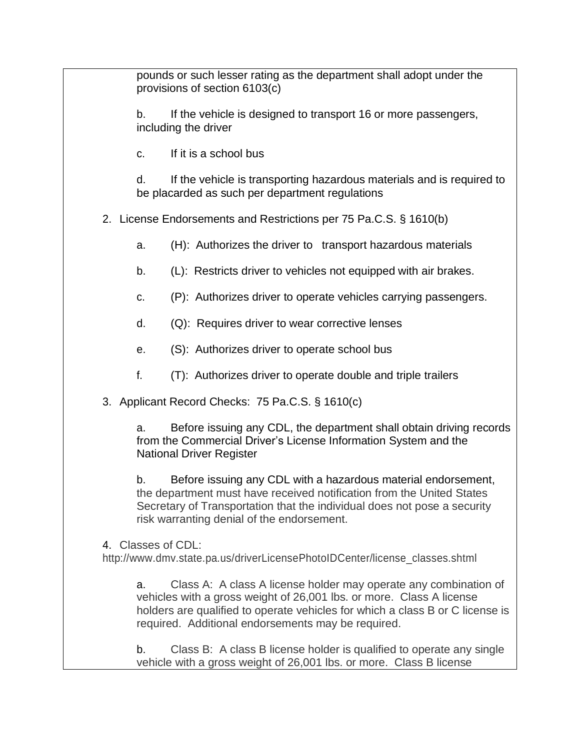pounds or such lesser rating as the department shall adopt under the provisions of section 6103(c)

b. If the vehicle is designed to transport 16 or more passengers, including the driver

c. If it is a school bus

d. If the vehicle is transporting hazardous materials and is required to be placarded as such per department regulations

2. License Endorsements and Restrictions per 75 Pa.C.S. § 1610(b)

a. (H): Authorizes the driver to transport hazardous materials

- b. (L): Restricts driver to vehicles not equipped with air brakes.
- c. (P): Authorizes driver to operate vehicles carrying passengers.
- d. (Q): Requires driver to wear corrective lenses
- e. (S): Authorizes driver to operate school bus
- f. (T): Authorizes driver to operate double and triple trailers
- 3. Applicant Record Checks: 75 Pa.C.S. § 1610(c)

a. Before issuing any CDL, the department shall obtain driving records from the Commercial Driver's License Information System and the National Driver Register

b. Before issuing any CDL with a hazardous material endorsement, the department must have received notification from the United States Secretary of Transportation that the individual does not pose a security risk warranting denial of the endorsement.

4. Classes of CDL:

http://www.dmv.state.pa.us/driverLicensePhotoIDCenter/license\_classes.shtml

a. Class A: A class A license holder may operate any combination of vehicles with a gross weight of 26,001 lbs. or more. Class A license holders are qualified to operate vehicles for which a class B or C license is required. Additional endorsements may be required.

b. Class B: A class B license holder is qualified to operate any single vehicle with a gross weight of 26,001 lbs. or more. Class B license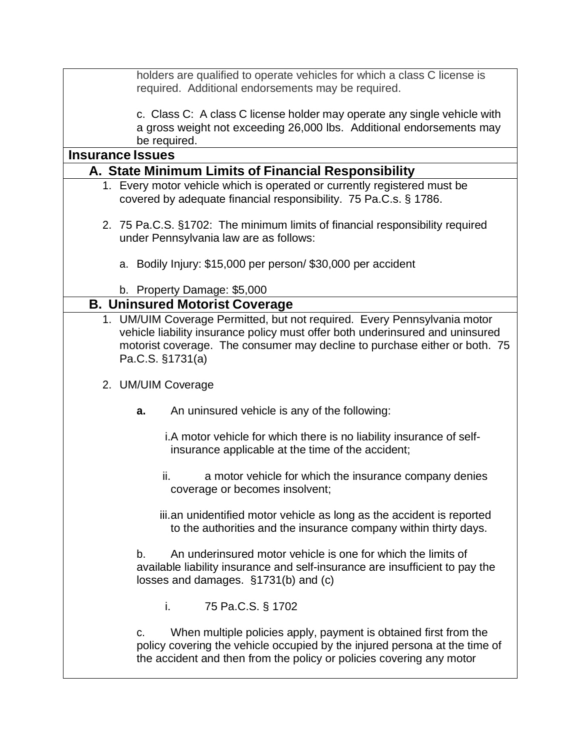holders are qualified to operate vehicles for which a class C license is required. Additional endorsements may be required.

c. Class C: A class C license holder may operate any single vehicle with a gross weight not exceeding 26,000 lbs. Additional endorsements may be required.

| <b>Insurance Issues</b>                                                                                                                                                                                                                                     |  |  |
|-------------------------------------------------------------------------------------------------------------------------------------------------------------------------------------------------------------------------------------------------------------|--|--|
| A. State Minimum Limits of Financial Responsibility                                                                                                                                                                                                         |  |  |
| 1. Every motor vehicle which is operated or currently registered must be                                                                                                                                                                                    |  |  |
| covered by adequate financial responsibility. 75 Pa.C.s. § 1786.                                                                                                                                                                                            |  |  |
| 2. 75 Pa.C.S. §1702: The minimum limits of financial responsibility required<br>under Pennsylvania law are as follows:                                                                                                                                      |  |  |
| a. Bodily Injury: \$15,000 per person/ \$30,000 per accident                                                                                                                                                                                                |  |  |
| b. Property Damage: \$5,000                                                                                                                                                                                                                                 |  |  |
| <b>B. Uninsured Motorist Coverage</b>                                                                                                                                                                                                                       |  |  |
| 1. UM/UIM Coverage Permitted, but not required. Every Pennsylvania motor<br>vehicle liability insurance policy must offer both underinsured and uninsured<br>motorist coverage. The consumer may decline to purchase either or both. 75<br>Pa.C.S. §1731(a) |  |  |
| 2. UM/UIM Coverage                                                                                                                                                                                                                                          |  |  |
| An uninsured vehicle is any of the following:<br>a.                                                                                                                                                                                                         |  |  |
| i.A motor vehicle for which there is no liability insurance of self-<br>insurance applicable at the time of the accident;                                                                                                                                   |  |  |
| ii.<br>a motor vehicle for which the insurance company denies<br>coverage or becomes insolvent;                                                                                                                                                             |  |  |
| iii.an unidentified motor vehicle as long as the accident is reported<br>to the authorities and the insurance company within thirty days.                                                                                                                   |  |  |
| An underinsured motor vehicle is one for which the limits of<br>b.<br>available liability insurance and self-insurance are insufficient to pay the<br>losses and damages. §1731(b) and (c)                                                                  |  |  |
| i.<br>75 Pa.C.S. § 1702                                                                                                                                                                                                                                     |  |  |
| When multiple policies apply, payment is obtained first from the<br>C.<br>policy covering the vehicle occupied by the injured persona at the time of<br>the accident and then from the policy or policies covering any motor                                |  |  |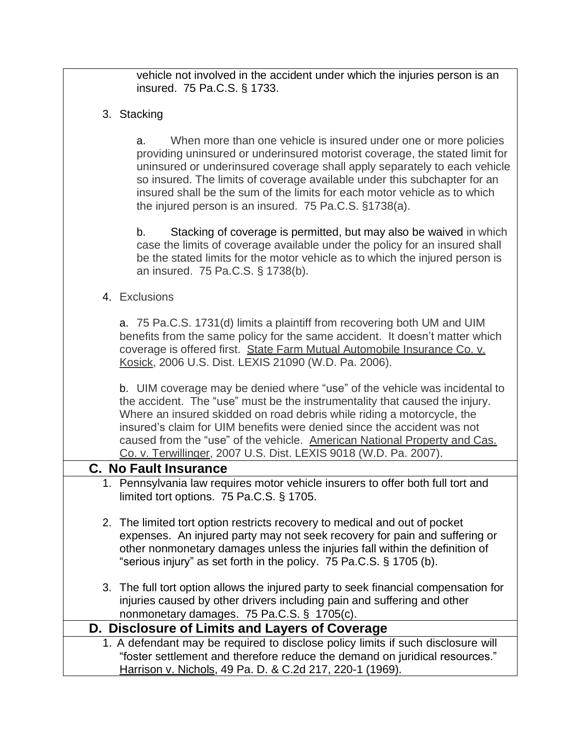vehicle not involved in the accident under which the injuries person is an insured. 75 Pa.C.S. § 1733.

3. Stacking

a. When more than one vehicle is insured under one or more policies providing uninsured or underinsured motorist coverage, the stated limit for uninsured or underinsured coverage shall apply separately to each vehicle so insured. The limits of coverage available under this subchapter for an insured shall be the sum of the limits for each motor vehicle as to which the injured person is an insured. 75 Pa.C.S. §1738(a).

b. Stacking of coverage is permitted, but may also be waived in which case the limits of coverage available under the policy for an insured shall be the stated limits for the motor vehicle as to which the injured person is an insured. 75 Pa.C.S. § 1738(b).

4. Exclusions

a. 75 Pa.C.S. 1731(d) limits a plaintiff from recovering both UM and UIM benefits from the same policy for the same accident. It doesn't matter which coverage is offered first. State Farm Mutual Automobile Insurance Co. v. Kosick, 2006 U.S. Dist. LEXIS 21090 (W.D. Pa. 2006).

b. UIM coverage may be denied where "use" of the vehicle was incidental to the accident. The "use" must be the instrumentality that caused the injury. Where an insured skidded on road debris while riding a motorcycle, the insured's claim for UIM benefits were denied since the accident was not caused from the "use" of the vehicle. American National Property and Cas. Co. v. Terwillinger, 2007 U.S. Dist. LEXIS 9018 (W.D. Pa. 2007).

#### **C. No Fault Insurance**

- 1. Pennsylvania law requires motor vehicle insurers to offer both full tort and limited tort options. 75 Pa.C.S. § 1705.
- 2. The limited tort option restricts recovery to medical and out of pocket expenses. An injured party may not seek recovery for pain and suffering or other nonmonetary damages unless the injuries fall within the definition of "serious injury" as set forth in the policy. 75 Pa.C.S. § 1705 (b).
- 3. The full tort option allows the injured party to seek financial compensation for injuries caused by other drivers including pain and suffering and other nonmonetary damages. 75 Pa.C.S. § 1705(c).

### **D. Disclosure of Limits and Layers of Coverage**

1. A defendant may be required to disclose policy limits if such disclosure will "foster settlement and therefore reduce the demand on juridical resources." Harrison v. Nichols, 49 Pa. D. & C.2d 217, 220-1 (1969).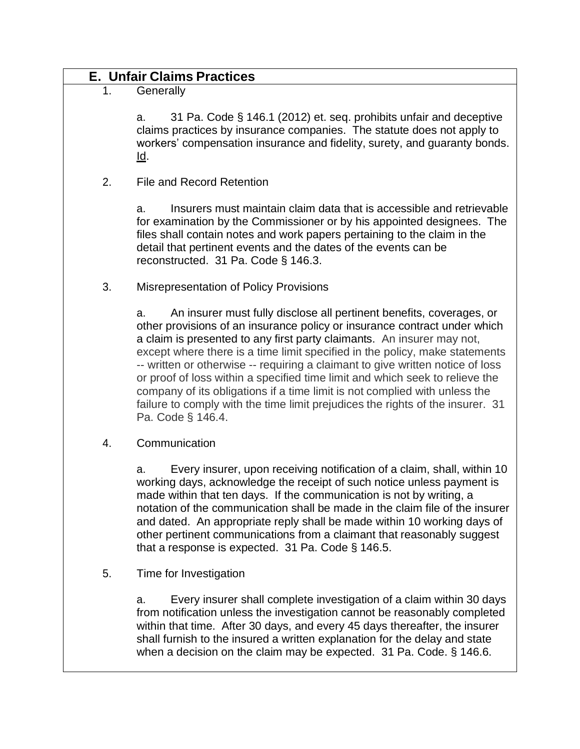|    | <b>E. Unfair Claims Practices</b>                                                                                                                                                                                                                                                                                                                                                                                                                                                                                                                                                                                                                                       |  |  |
|----|-------------------------------------------------------------------------------------------------------------------------------------------------------------------------------------------------------------------------------------------------------------------------------------------------------------------------------------------------------------------------------------------------------------------------------------------------------------------------------------------------------------------------------------------------------------------------------------------------------------------------------------------------------------------------|--|--|
| 1. | Generally                                                                                                                                                                                                                                                                                                                                                                                                                                                                                                                                                                                                                                                               |  |  |
|    | 31 Pa. Code § 146.1 (2012) et. seq. prohibits unfair and deceptive<br>a.<br>claims practices by insurance companies. The statute does not apply to<br>workers' compensation insurance and fidelity, surety, and guaranty bonds.<br><u>ld</u> .                                                                                                                                                                                                                                                                                                                                                                                                                          |  |  |
| 2. | <b>File and Record Retention</b>                                                                                                                                                                                                                                                                                                                                                                                                                                                                                                                                                                                                                                        |  |  |
|    | Insurers must maintain claim data that is accessible and retrievable<br>а.<br>for examination by the Commissioner or by his appointed designees. The<br>files shall contain notes and work papers pertaining to the claim in the<br>detail that pertinent events and the dates of the events can be<br>reconstructed. 31 Pa. Code § 146.3.                                                                                                                                                                                                                                                                                                                              |  |  |
| 3. | <b>Misrepresentation of Policy Provisions</b>                                                                                                                                                                                                                                                                                                                                                                                                                                                                                                                                                                                                                           |  |  |
|    | An insurer must fully disclose all pertinent benefits, coverages, or<br>a.<br>other provisions of an insurance policy or insurance contract under which<br>a claim is presented to any first party claimants. An insurer may not,<br>except where there is a time limit specified in the policy, make statements<br>-- written or otherwise -- requiring a claimant to give written notice of loss<br>or proof of loss within a specified time limit and which seek to relieve the<br>company of its obligations if a time limit is not complied with unless the<br>failure to comply with the time limit prejudices the rights of the insurer. 31<br>Pa. Code § 146.4. |  |  |
| 4. | Communication                                                                                                                                                                                                                                                                                                                                                                                                                                                                                                                                                                                                                                                           |  |  |
|    | Every insurer, upon receiving notification of a claim, shall, within 10<br>a.<br>working days, acknowledge the receipt of such notice unless payment is<br>made within that ten days. If the communication is not by writing, a<br>notation of the communication shall be made in the claim file of the insurer<br>and dated. An appropriate reply shall be made within 10 working days of<br>other pertinent communications from a claimant that reasonably suggest<br>that a response is expected. 31 Pa. Code $\S$ 146.5.                                                                                                                                            |  |  |
| 5. | Time for Investigation                                                                                                                                                                                                                                                                                                                                                                                                                                                                                                                                                                                                                                                  |  |  |
|    | Every insurer shall complete investigation of a claim within 30 days<br>a.<br>from notification unless the investigation cannot be reasonably completed<br>within that time. After 30 days, and every 45 days thereafter, the insurer<br>shall furnish to the insured a written explanation for the delay and state<br>when a decision on the claim may be expected. 31 Pa. Code. § 146.6.                                                                                                                                                                                                                                                                              |  |  |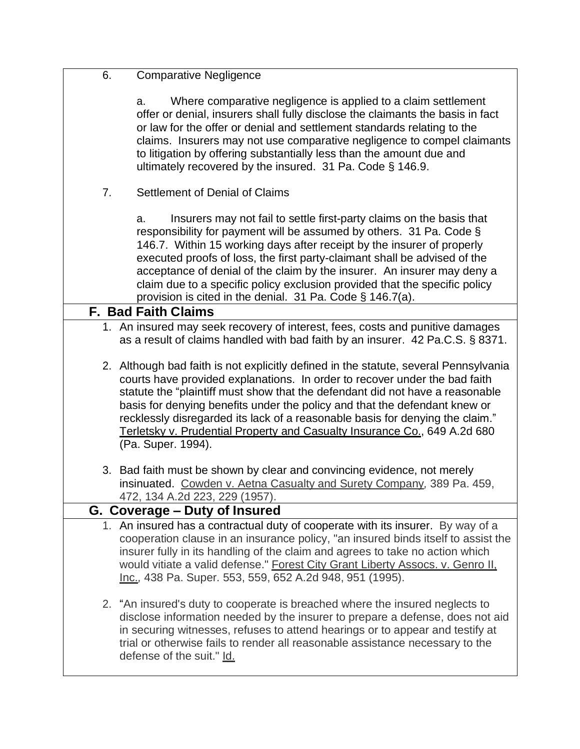| -6. | <b>Comparative Negligence</b> |
|-----|-------------------------------|
|     |                               |

a. Where comparative negligence is applied to a claim settlement offer or denial, insurers shall fully disclose the claimants the basis in fact or law for the offer or denial and settlement standards relating to the claims. Insurers may not use comparative negligence to compel claimants to litigation by offering substantially less than the amount due and ultimately recovered by the insured. 31 Pa. Code § 146.9.

7. Settlement of Denial of Claims

a. Insurers may not fail to settle first-party claims on the basis that responsibility for payment will be assumed by others. 31 Pa. Code § 146.7. Within 15 working days after receipt by the insurer of properly executed proofs of loss, the first party-claimant shall be advised of the acceptance of denial of the claim by the insurer. An insurer may deny a claim due to a specific policy exclusion provided that the specific policy provision is cited in the denial. 31 Pa. Code § 146.7(a).

### **F. Bad Faith Claims**

- 1. An insured may seek recovery of interest, fees, costs and punitive damages as a result of claims handled with bad faith by an insurer. 42 Pa.C.S. § 8371.
- 2. Although bad faith is not explicitly defined in the statute, several Pennsylvania courts have provided explanations. In order to recover under the bad faith statute the "plaintiff must show that the defendant did not have a reasonable basis for denying benefits under the policy and that the defendant knew or recklessly disregarded its lack of a reasonable basis for denying the claim." Terletsky v. Prudential Property and Casualty Insurance Co., 649 A.2d 680 (Pa. Super. 1994).
- 3. Bad faith must be shown by clear and convincing evidence, not merely insinuated. Cowden v. Aetna Casualty and Surety Company*,* 389 Pa. 459, 472, 134 A.2d 223, 229 (1957).

### **G. Coverage – Duty of Insured**

- 1. An insured has a contractual duty of cooperate with its insurer. By way of a cooperation clause in an insurance policy, "an insured binds itself to assist the insurer fully in its handling of the claim and agrees to take no action which would vitiate a valid defense." Forest City Grant Liberty Assocs. v. Genro II, Inc.*,* 438 Pa. Super. 553, 559, 652 A.2d 948, 951 (1995).
- 2. "An insured's duty to cooperate is breached where the insured neglects to disclose information needed by the insurer to prepare a defense, does not aid in securing witnesses, refuses to attend hearings or to appear and testify at trial or otherwise fails to render all reasonable assistance necessary to the defense of the suit." Id.